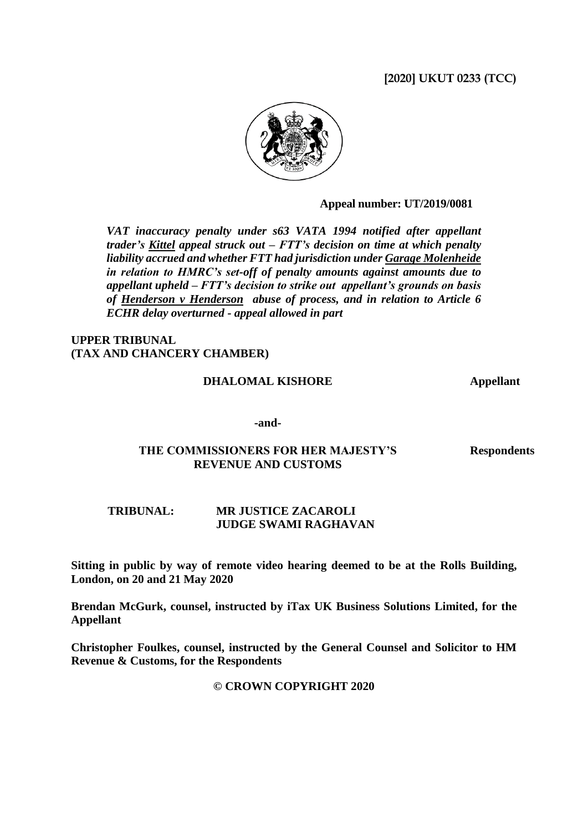# **[2020] UKUT 0233 (TCC)**



**Appeal number: UT/2019/0081**

*VAT inaccuracy penalty under s63 VATA 1994 notified after appellant trader's Kittel appeal struck out – FTT's decision on time at which penalty liability accrued and whether FTT had jurisdiction under Garage Molenheide in relation to HMRC's set-off of penalty amounts against amounts due to appellant upheld – FTT's decision to strike out appellant's grounds on basis of Henderson v Henderson abuse of process, and in relation to Article 6 ECHR delay overturned - appeal allowed in part*

### **UPPER TRIBUNAL (TAX AND CHANCERY CHAMBER)**

#### **DHALOMAL KISHORE Appellant**

#### **-and-**

## **THE COMMISSIONERS FOR HER MAJESTY'S REVENUE AND CUSTOMS**

**Respondents**

### **TRIBUNAL: MR JUSTICE ZACAROLI JUDGE SWAMI RAGHAVAN**

**Sitting in public by way of remote video hearing deemed to be at the Rolls Building, London, on 20 and 21 May 2020**

**Brendan McGurk, counsel, instructed by iTax UK Business Solutions Limited, for the Appellant**

**Christopher Foulkes, counsel, instructed by the General Counsel and Solicitor to HM Revenue & Customs, for the Respondents**

### **© CROWN COPYRIGHT 2020**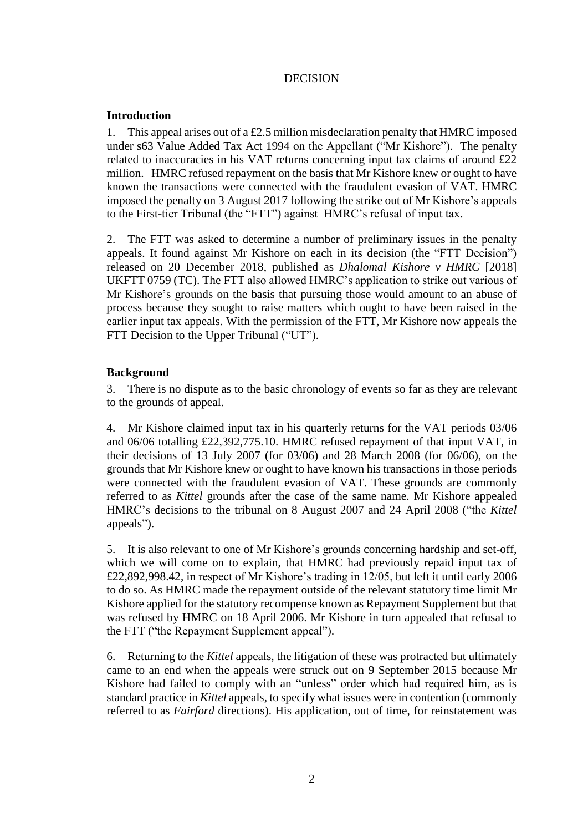# DECISION

## **Introduction**

1. This appeal arises out of a £2.5 million misdeclaration penalty that HMRC imposed under s63 Value Added Tax Act 1994 on the Appellant ("Mr Kishore"). The penalty related to inaccuracies in his VAT returns concerning input tax claims of around £22 million. HMRC refused repayment on the basis that Mr Kishore knew or ought to have known the transactions were connected with the fraudulent evasion of VAT. HMRC imposed the penalty on 3 August 2017 following the strike out of Mr Kishore's appeals to the First-tier Tribunal (the "FTT") against HMRC's refusal of input tax.

2. The FTT was asked to determine a number of preliminary issues in the penalty appeals. It found against Mr Kishore on each in its decision (the "FTT Decision") released on 20 December 2018, published as *Dhalomal Kishore v HMRC* [2018] UKFTT 0759 (TC). The FTT also allowed HMRC's application to strike out various of Mr Kishore's grounds on the basis that pursuing those would amount to an abuse of process because they sought to raise matters which ought to have been raised in the earlier input tax appeals. With the permission of the FTT, Mr Kishore now appeals the FTT Decision to the Upper Tribunal ("UT").

# **Background**

3. There is no dispute as to the basic chronology of events so far as they are relevant to the grounds of appeal.

4. Mr Kishore claimed input tax in his quarterly returns for the VAT periods 03/06 and 06/06 totalling £22,392,775.10. HMRC refused repayment of that input VAT, in their decisions of 13 July 2007 (for 03/06) and 28 March 2008 (for 06/06), on the grounds that Mr Kishore knew or ought to have known his transactions in those periods were connected with the fraudulent evasion of VAT. These grounds are commonly referred to as *Kittel* grounds after the case of the same name. Mr Kishore appealed HMRC's decisions to the tribunal on 8 August 2007 and 24 April 2008 ("the *Kittel*  appeals").

5. It is also relevant to one of Mr Kishore's grounds concerning hardship and set-off, which we will come on to explain, that HMRC had previously repaid input tax of £22,892,998.42, in respect of Mr Kishore's trading in 12/05, but left it until early 2006 to do so. As HMRC made the repayment outside of the relevant statutory time limit Mr Kishore applied for the statutory recompense known as Repayment Supplement but that was refused by HMRC on 18 April 2006. Mr Kishore in turn appealed that refusal to the FTT ("the Repayment Supplement appeal").

6. Returning to the *Kittel* appeals, the litigation of these was protracted but ultimately came to an end when the appeals were struck out on 9 September 2015 because Mr Kishore had failed to comply with an "unless" order which had required him, as is standard practice in *Kittel* appeals, to specify what issues were in contention (commonly referred to as *Fairford* directions). His application, out of time, for reinstatement was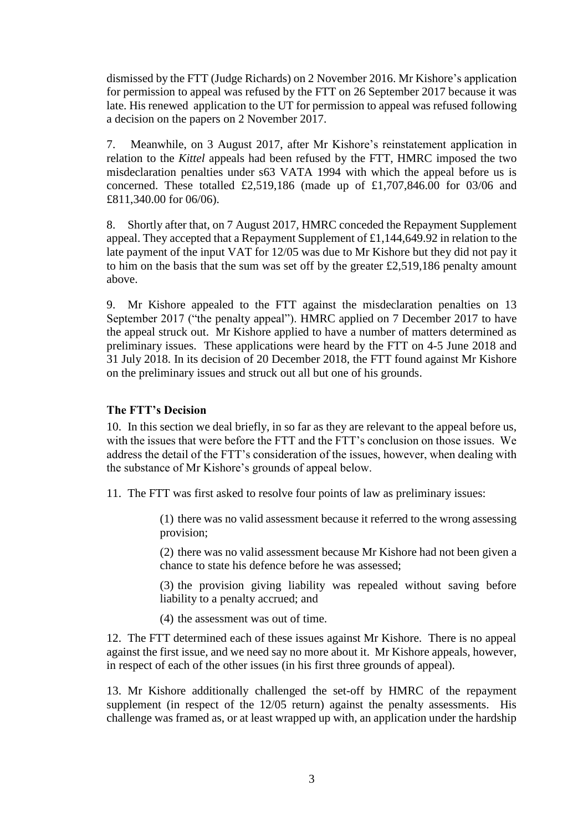dismissed by the FTT (Judge Richards) on 2 November 2016. Mr Kishore's application for permission to appeal was refused by the FTT on 26 September 2017 because it was late. His renewed application to the UT for permission to appeal was refused following a decision on the papers on 2 November 2017.

7. Meanwhile, on 3 August 2017, after Mr Kishore's reinstatement application in relation to the *Kittel* appeals had been refused by the FTT, HMRC imposed the two misdeclaration penalties under s63 VATA 1994 with which the appeal before us is concerned. These totalled £2,519,186 (made up of £1,707,846.00 for 03/06 and £811,340.00 for 06/06).

8. Shortly after that, on 7 August 2017, HMRC conceded the Repayment Supplement appeal. They accepted that a Repayment Supplement of £1,144,649.92 in relation to the late payment of the input VAT for 12/05 was due to Mr Kishore but they did not pay it to him on the basis that the sum was set off by the greater £2,519,186 penalty amount above.

9. Mr Kishore appealed to the FTT against the misdeclaration penalties on 13 September 2017 ("the penalty appeal"). HMRC applied on 7 December 2017 to have the appeal struck out. Mr Kishore applied to have a number of matters determined as preliminary issues. These applications were heard by the FTT on 4-5 June 2018 and 31 July 2018. In its decision of 20 December 2018, the FTT found against Mr Kishore on the preliminary issues and struck out all but one of his grounds.

### **The FTT's Decision**

10. In this section we deal briefly, in so far as they are relevant to the appeal before us, with the issues that were before the FTT and the FTT's conclusion on those issues. We address the detail of the FTT's consideration of the issues, however, when dealing with the substance of Mr Kishore's grounds of appeal below.

11. The FTT was first asked to resolve four points of law as preliminary issues:

(1) there was no valid assessment because it referred to the wrong assessing provision;

(2) there was no valid assessment because Mr Kishore had not been given a chance to state his defence before he was assessed;

(3) the provision giving liability was repealed without saving before liability to a penalty accrued; and

(4) the assessment was out of time.

12. The FTT determined each of these issues against Mr Kishore. There is no appeal against the first issue, and we need say no more about it. Mr Kishore appeals, however, in respect of each of the other issues (in his first three grounds of appeal).

13. Mr Kishore additionally challenged the set-off by HMRC of the repayment supplement (in respect of the 12/05 return) against the penalty assessments. His challenge was framed as, or at least wrapped up with, an application under the hardship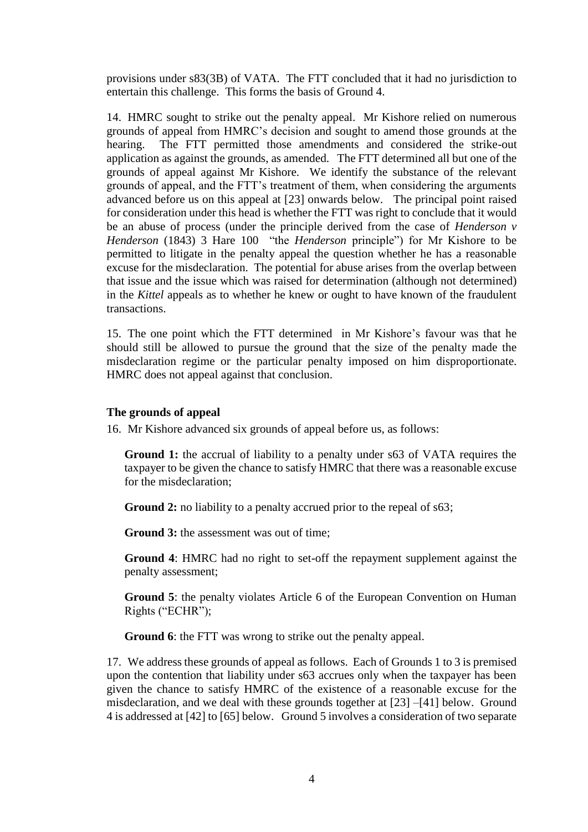provisions under s83(3B) of VATA. The FTT concluded that it had no jurisdiction to entertain this challenge. This forms the basis of Ground 4.

14. HMRC sought to strike out the penalty appeal. Mr Kishore relied on numerous grounds of appeal from HMRC's decision and sought to amend those grounds at the hearing. The FTT permitted those amendments and considered the strike-out application as against the grounds, as amended. The FTT determined all but one of the grounds of appeal against Mr Kishore. We identify the substance of the relevant grounds of appeal, and the FTT's treatment of them, when considering the arguments advanced before us on this appeal at [23] onwards below. The principal point raised for consideration under this head is whether the FTT was right to conclude that it would be an abuse of process (under the principle derived from the case of *Henderson v Henderson* (1843) 3 Hare 100 "the *Henderson* principle") for Mr Kishore to be permitted to litigate in the penalty appeal the question whether he has a reasonable excuse for the misdeclaration. The potential for abuse arises from the overlap between that issue and the issue which was raised for determination (although not determined) in the *Kittel* appeals as to whether he knew or ought to have known of the fraudulent transactions.

15. The one point which the FTT determined in Mr Kishore's favour was that he should still be allowed to pursue the ground that the size of the penalty made the misdeclaration regime or the particular penalty imposed on him disproportionate. HMRC does not appeal against that conclusion.

## **The grounds of appeal**

16. Mr Kishore advanced six grounds of appeal before us, as follows:

**Ground 1:** the accrual of liability to a penalty under s63 of VATA requires the taxpayer to be given the chance to satisfy HMRC that there was a reasonable excuse for the misdeclaration;

**Ground 2:** no liability to a penalty accrued prior to the repeal of s63;

**Ground 3:** the assessment was out of time:

**Ground 4**: HMRC had no right to set-off the repayment supplement against the penalty assessment;

**Ground 5**: the penalty violates Article 6 of the European Convention on Human Rights ("ECHR");

**Ground 6**: the FTT was wrong to strike out the penalty appeal.

17. We address these grounds of appeal as follows. Each of Grounds 1 to 3 is premised upon the contention that liability under s63 accrues only when the taxpayer has been given the chance to satisfy HMRC of the existence of a reasonable excuse for the misdeclaration, and we deal with these grounds together at [23] –[41] below. Ground 4 is addressed at [42] to [65] below. Ground 5 involves a consideration of two separate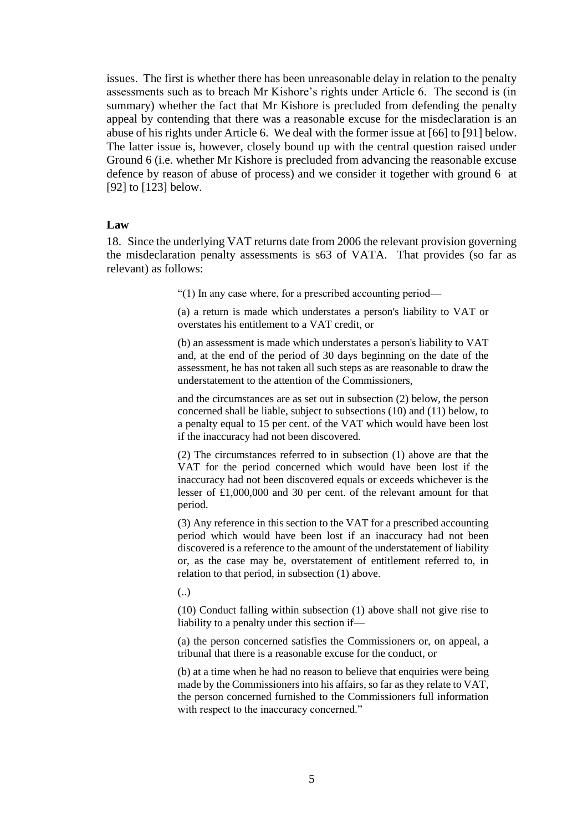issues. The first is whether there has been unreasonable delay in relation to the penalty assessments such as to breach Mr Kishore's rights under Article 6. The second is (in summary) whether the fact that Mr Kishore is precluded from defending the penalty appeal by contending that there was a reasonable excuse for the misdeclaration is an abuse of his rights under Article 6. We deal with the former issue at [66] to [91] below. The latter issue is, however, closely bound up with the central question raised under Ground 6 (i.e. whether Mr Kishore is precluded from advancing the reasonable excuse defence by reason of abuse of process) and we consider it together with ground 6 at [92] to [123] below.

#### **Law**

18. Since the underlying VAT returns date from 2006 the relevant provision governing the misdeclaration penalty assessments is s63 of VATA. That provides (so far as relevant) as follows:

"(1) In any case where, for a prescribed accounting period—

(a) a return is made which understates a person's liability to VAT or overstates his entitlement to a VAT credit, or

(b) an assessment is made which understates a person's liability to VAT and, at the end of the period of 30 days beginning on the date of the assessment, he has not taken all such steps as are reasonable to draw the understatement to the attention of the Commissioners,

and the circumstances are as set out in subsection (2) below, the person concerned shall be liable, subject to subsections (10) and (11) below, to a penalty equal to 15 per cent. of the VAT which would have been lost if the inaccuracy had not been discovered.

(2) The circumstances referred to in subsection (1) above are that the VAT for the period concerned which would have been lost if the inaccuracy had not been discovered equals or exceeds whichever is the lesser of £1,000,000 and 30 per cent. of the relevant amount for that period.

(3) Any reference in this section to the VAT for a prescribed accounting period which would have been lost if an inaccuracy had not been discovered is a reference to the amount of the understatement of liability or, as the case may be, overstatement of entitlement referred to, in relation to that period, in subsection (1) above.

(..)

(10) Conduct falling within subsection (1) above shall not give rise to liability to a penalty under this section if—

(a) the person concerned satisfies the Commissioners or, on appeal, a tribunal that there is a reasonable excuse for the conduct, or

(b) at a time when he had no reason to believe that enquiries were being made by the Commissioners into his affairs, so far as they relate to VAT, the person concerned furnished to the Commissioners full information with respect to the inaccuracy concerned."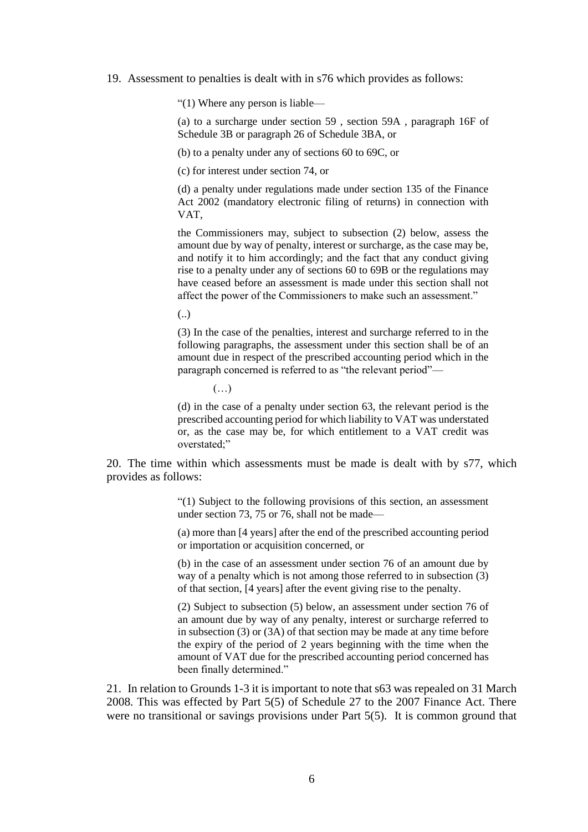19. Assessment to penalties is dealt with in s76 which provides as follows:

"(1) Where any person is liable—

(a) to a surcharge under [section 59](file:///C:/maf/wluk/app/document%3fsrc=doc&linktype=ref&context=79&crumb-action=replace&docguid=I8F93C570E44A11DA8D70A0E70A78ED65) , [section 59A](file:///C:/maf/wluk/app/document%3fsrc=doc&linktype=ref&context=79&crumb-action=replace&docguid=ICBC0B5F0E44D11DA8D70A0E70A78ED65) , [paragraph 16F of](file:///C:/maf/wluk/app/document%3fsrc=doc&linktype=ref&context=79&crumb-action=replace&docguid=I8A588EF1147B11E4AB8C9B8DDC0F3B43)  [Schedule 3B](file:///C:/maf/wluk/app/document%3fsrc=doc&linktype=ref&context=79&crumb-action=replace&docguid=I8A588EF1147B11E4AB8C9B8DDC0F3B43) or [paragraph 26 of Schedule 3BA,](file:///C:/maf/wluk/app/document%3fsrc=doc&linktype=ref&context=79&crumb-action=replace&docguid=I35E0B6A116D211E4B4B6B6DCF0EA278B) or

(b) to a penalty under any of sections 60 to 69C, or

(c) for interest under section 74, or

(d) a penalty under regulations made under section 135 of the Finance Act 2002 (mandatory electronic filing of returns) in connection with VAT,

the Commissioners may, subject to subsection (2) below, assess the amount due by way of penalty, interest or surcharge, as the case may be, and notify it to him accordingly; and the fact that any conduct giving rise to a penalty under any of sections 60 to 69B or the regulations may have ceased before an assessment is made under this section shall not affect the power of the Commissioners to make such an assessment."

(..)

(3) In the case of the penalties, interest and surcharge referred to in the following paragraphs, the assessment under this section shall be of an amount due in respect of the prescribed accounting period which in the paragraph concerned is referred to as "the relevant period"—

(…)

(d) in the case of a penalty under section 63, the relevant period is the prescribed accounting period for which liability to VAT was understated or, as the case may be, for which entitlement to a VAT credit was overstated;"

20. The time within which assessments must be made is dealt with by s77, which provides as follows:

> "(1) Subject to the following provisions of this section, an assessment under section 73, 75 or 76, shall not be made—

> (a) more than [4 years] after the end of the prescribed accounting period or importation or acquisition concerned, or

> (b) in the case of an assessment under section 76 of an amount due by way of a penalty which is not among those referred to in subsection (3) of that section, [4 years] after the event giving rise to the penalty.

> (2) Subject to subsection (5) below, an assessment under section 76 of an amount due by way of any penalty, interest or surcharge referred to in subsection (3) or (3A) of that section may be made at any time before the expiry of the period of 2 years beginning with the time when the amount of VAT due for the prescribed accounting period concerned has been finally determined."

21. In relation to Grounds 1-3 it is important to note that s63 was repealed on 31 March 2008. This was effected by Part 5(5) of Schedule 27 to the 2007 Finance Act. There were no transitional or savings provisions under Part 5(5). It is common ground that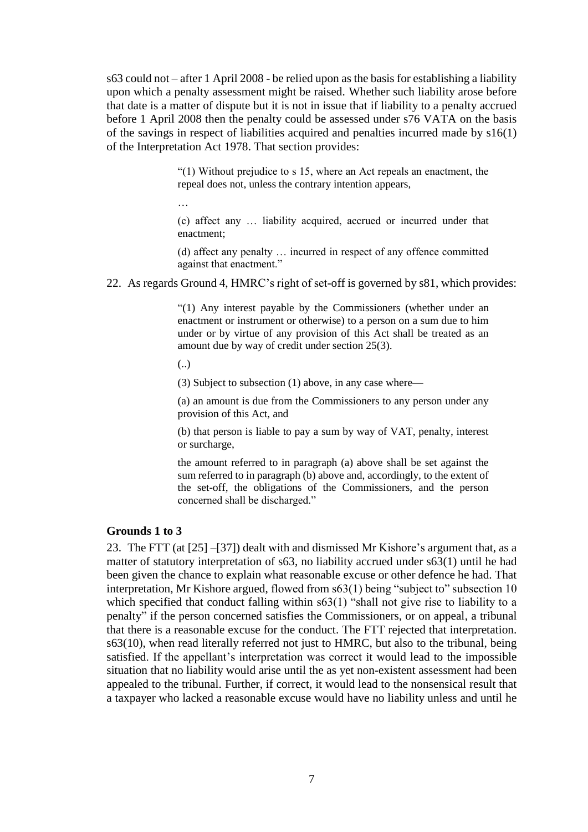s63 could not – after 1 April 2008 - be relied upon as the basis for establishing a liability upon which a penalty assessment might be raised. Whether such liability arose before that date is a matter of dispute but it is not in issue that if liability to a penalty accrued before 1 April 2008 then the penalty could be assessed under s76 VATA on the basis of the savings in respect of liabilities acquired and penalties incurred made by s16(1) of the Interpretation Act 1978. That section provides:

> "(1) Without prejudice to s 15, where an Act repeals an enactment, the repeal does not, unless the contrary intention appears,

(c) affect any … liability acquired, accrued or incurred under that enactment;

(d) affect any penalty … incurred in respect of any offence committed against that enactment."

22. As regards Ground 4, HMRC's right of set-off is governed by s81, which provides:

"(1) Any interest payable by the Commissioners (whether under an enactment or instrument or otherwise) to a person on a sum due to him under or by virtue of any provision of this Act shall be treated as an amount due by way of credit under section 25(3).

(..)

…

(3) Subject to subsection (1) above, in any case where—

(a) an amount is due from the Commissioners to any person under any provision of this Act, and

(b) that person is liable to pay a sum by way of VAT, penalty, interest or surcharge,

the amount referred to in paragraph (a) above shall be set against the sum referred to in paragraph (b) above and, accordingly, to the extent of the set-off, the obligations of the Commissioners, and the person concerned shall be discharged."

#### **Grounds 1 to 3**

23. The FTT (at [25] –[37]) dealt with and dismissed Mr Kishore's argument that, as a matter of statutory interpretation of s63, no liability accrued under s63(1) until he had been given the chance to explain what reasonable excuse or other defence he had. That interpretation, Mr Kishore argued, flowed from s63(1) being "subject to" subsection 10 which specified that conduct falling within s63(1) "shall not give rise to liability to a penalty" if the person concerned satisfies the Commissioners, or on appeal, a tribunal that there is a reasonable excuse for the conduct. The FTT rejected that interpretation. s63(10), when read literally referred not just to HMRC, but also to the tribunal, being satisfied. If the appellant's interpretation was correct it would lead to the impossible situation that no liability would arise until the as yet non-existent assessment had been appealed to the tribunal. Further, if correct, it would lead to the nonsensical result that a taxpayer who lacked a reasonable excuse would have no liability unless and until he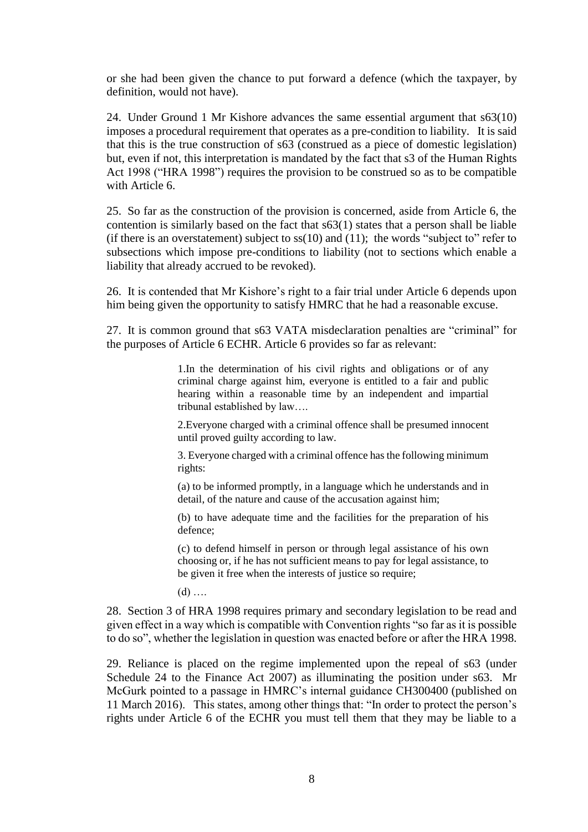or she had been given the chance to put forward a defence (which the taxpayer, by definition, would not have).

24. Under Ground 1 Mr Kishore advances the same essential argument that s63(10) imposes a procedural requirement that operates as a pre-condition to liability. It is said that this is the true construction of s63 (construed as a piece of domestic legislation) but, even if not, this interpretation is mandated by the fact that s3 of the Human Rights Act 1998 ("HRA 1998") requires the provision to be construed so as to be compatible with Article 6.

25. So far as the construction of the provision is concerned, aside from Article 6, the contention is similarly based on the fact that s63(1) states that a person shall be liable (if there is an overstatement) subject to  $ss(10)$  and  $(11)$ ; the words "subject to" refer to subsections which impose pre-conditions to liability (not to sections which enable a liability that already accrued to be revoked).

26. It is contended that Mr Kishore's right to a fair trial under Article 6 depends upon him being given the opportunity to satisfy HMRC that he had a reasonable excuse.

27. It is common ground that s63 VATA misdeclaration penalties are "criminal" for the purposes of Article 6 ECHR. Article 6 provides so far as relevant:

> 1.In the determination of his civil rights and obligations or of any criminal charge against him, everyone is entitled to a fair and public hearing within a reasonable time by an independent and impartial tribunal established by law….

> 2.Everyone charged with a criminal offence shall be presumed innocent until proved guilty according to law.

> 3. Everyone charged with a criminal offence has the following minimum rights:

> (a) to be informed promptly, in a language which he understands and in detail, of the nature and cause of the accusation against him;

> (b) to have adequate time and the facilities for the preparation of his defence;

> (c) to defend himself in person or through legal assistance of his own choosing or, if he has not sufficient means to pay for legal assistance, to be given it free when the interests of justice so require;

 $(d)$  ....

28. Section 3 of HRA 1998 requires primary and secondary legislation to be read and given effect in a way which is compatible with Convention rights "so far as it is possible to do so", whether the legislation in question was enacted before or after the HRA 1998.

29. Reliance is placed on the regime implemented upon the repeal of s63 (under Schedule 24 to the Finance Act 2007) as illuminating the position under s63. Mr McGurk pointed to a passage in HMRC's internal guidance CH300400 (published on 11 March 2016). This states, among other things that: "In order to protect the person's rights under Article 6 of the ECHR you must tell them that they may be liable to a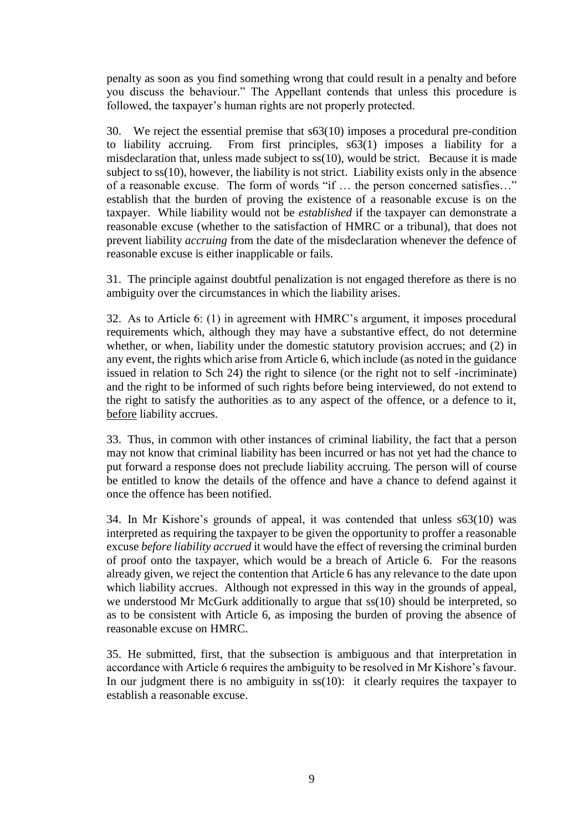penalty as soon as you find something wrong that could result in a penalty and before you discuss the behaviour." The Appellant contends that unless this procedure is followed, the taxpayer's human rights are not properly protected.

30. We reject the essential premise that s63(10) imposes a procedural pre-condition to liability accruing. From first principles, s63(1) imposes a liability for a misdeclaration that, unless made subject to ss(10), would be strict. Because it is made subject to ss(10), however, the liability is not strict. Liability exists only in the absence of a reasonable excuse. The form of words "if … the person concerned satisfies…" establish that the burden of proving the existence of a reasonable excuse is on the taxpayer. While liability would not be *established* if the taxpayer can demonstrate a reasonable excuse (whether to the satisfaction of HMRC or a tribunal), that does not prevent liability *accruing* from the date of the misdeclaration whenever the defence of reasonable excuse is either inapplicable or fails.

31. The principle against doubtful penalization is not engaged therefore as there is no ambiguity over the circumstances in which the liability arises.

32. As to Article 6: (1) in agreement with HMRC's argument, it imposes procedural requirements which, although they may have a substantive effect, do not determine whether, or when, liability under the domestic statutory provision accrues; and (2) in any event, the rights which arise from Article 6, which include (as noted in the guidance issued in relation to Sch 24) the right to silence (or the right not to self -incriminate) and the right to be informed of such rights before being interviewed, do not extend to the right to satisfy the authorities as to any aspect of the offence, or a defence to it, before liability accrues.

33. Thus, in common with other instances of criminal liability, the fact that a person may not know that criminal liability has been incurred or has not yet had the chance to put forward a response does not preclude liability accruing. The person will of course be entitled to know the details of the offence and have a chance to defend against it once the offence has been notified.

34. In Mr Kishore's grounds of appeal, it was contended that unless s63(10) was interpreted as requiring the taxpayer to be given the opportunity to proffer a reasonable excuse *before liability accrued* it would have the effect of reversing the criminal burden of proof onto the taxpayer, which would be a breach of Article 6. For the reasons already given, we reject the contention that Article 6 has any relevance to the date upon which liability accrues. Although not expressed in this way in the grounds of appeal, we understood Mr McGurk additionally to argue that ss(10) should be interpreted, so as to be consistent with Article 6, as imposing the burden of proving the absence of reasonable excuse on HMRC.

35. He submitted, first, that the subsection is ambiguous and that interpretation in accordance with Article 6 requires the ambiguity to be resolved in Mr Kishore's favour. In our judgment there is no ambiguity in  $ss(10)$ : it clearly requires the taxpayer to establish a reasonable excuse.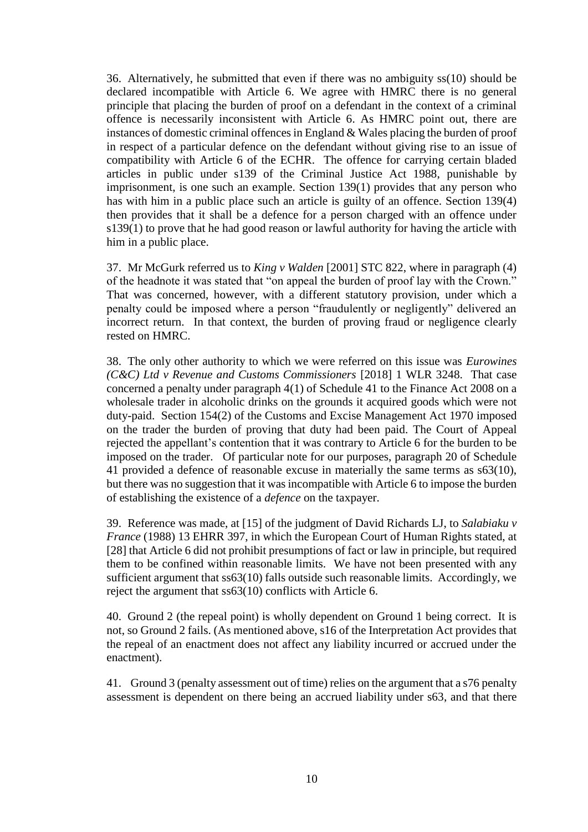36. Alternatively, he submitted that even if there was no ambiguity ss(10) should be declared incompatible with Article 6. We agree with HMRC there is no general principle that placing the burden of proof on a defendant in the context of a criminal offence is necessarily inconsistent with Article 6. As HMRC point out, there are instances of domestic criminal offences in England  $\&$  Wales placing the burden of proof in respect of a particular defence on the defendant without giving rise to an issue of compatibility with Article 6 of the ECHR. The offence for carrying certain bladed articles in public under s139 of the Criminal Justice Act 1988, punishable by imprisonment, is one such an example. Section 139(1) provides that any person who has with him in a public place such an article is guilty of an offence. Section 139(4) then provides that it shall be a defence for a person charged with an offence under s139(1) to prove that he had good reason or lawful authority for having the article with him in a public place.

37. Mr McGurk referred us to *King v Walden* [2001] STC 822, where in paragraph (4) of the headnote it was stated that "on appeal the burden of proof lay with the Crown." That was concerned, however, with a different statutory provision, under which a penalty could be imposed where a person "fraudulently or negligently" delivered an incorrect return. In that context, the burden of proving fraud or negligence clearly rested on HMRC.

38. The only other authority to which we were referred on this issue was *Eurowines (C&C) Ltd v Revenue and Customs Commissioners* [2018] 1 WLR 3248. That case concerned a penalty under paragraph 4(1) of Schedule 41 to the Finance Act 2008 on a wholesale trader in alcoholic drinks on the grounds it acquired goods which were not duty-paid. Section 154(2) of the Customs and Excise Management Act 1970 imposed on the trader the burden of proving that duty had been paid. The Court of Appeal rejected the appellant's contention that it was contrary to Article 6 for the burden to be imposed on the trader. Of particular note for our purposes, paragraph 20 of Schedule 41 provided a defence of reasonable excuse in materially the same terms as s63(10), but there was no suggestion that it was incompatible with Article 6 to impose the burden of establishing the existence of a *defence* on the taxpayer.

39. Reference was made, at [15] of the judgment of David Richards LJ, to *Salabiaku v France* (1988) 13 EHRR 397, in which the European Court of Human Rights stated, at [28] that Article 6 did not prohibit presumptions of fact or law in principle, but required them to be confined within reasonable limits. We have not been presented with any sufficient argument that ss63(10) falls outside such reasonable limits. Accordingly, we reject the argument that ss63(10) conflicts with Article 6.

40. Ground 2 (the repeal point) is wholly dependent on Ground 1 being correct. It is not, so Ground 2 fails. (As mentioned above, s16 of the Interpretation Act provides that the repeal of an enactment does not affect any liability incurred or accrued under the enactment).

41. Ground 3 (penalty assessment out of time) relies on the argument that a s76 penalty assessment is dependent on there being an accrued liability under s63, and that there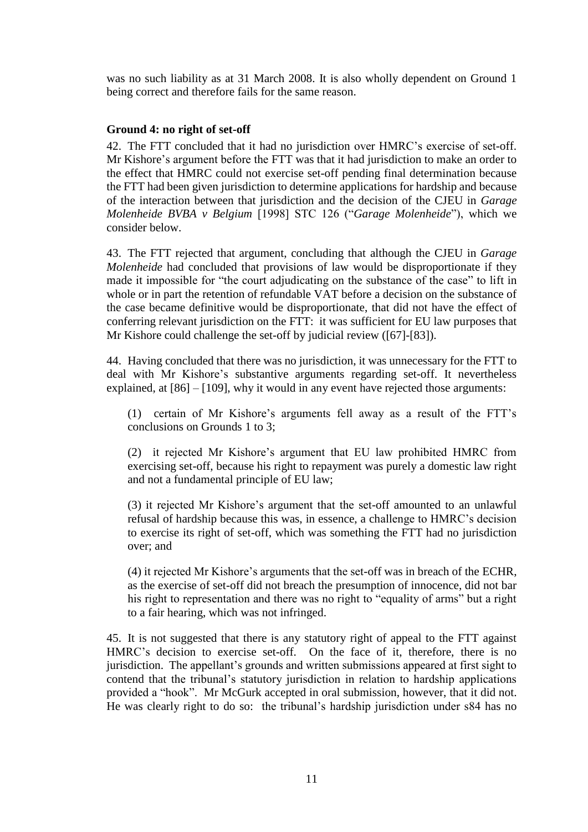was no such liability as at 31 March 2008. It is also wholly dependent on Ground 1 being correct and therefore fails for the same reason.

#### **Ground 4: no right of set-off**

42. The FTT concluded that it had no jurisdiction over HMRC's exercise of set-off. Mr Kishore's argument before the FTT was that it had jurisdiction to make an order to the effect that HMRC could not exercise set-off pending final determination because the FTT had been given jurisdiction to determine applications for hardship and because of the interaction between that jurisdiction and the decision of the CJEU in *Garage Molenheide BVBA v Belgium* [1998] STC 126 ("*Garage Molenheide*"), which we consider below.

43. The FTT rejected that argument, concluding that although the CJEU in *Garage Molenheide* had concluded that provisions of law would be disproportionate if they made it impossible for "the court adjudicating on the substance of the case" to lift in whole or in part the retention of refundable VAT before a decision on the substance of the case became definitive would be disproportionate, that did not have the effect of conferring relevant jurisdiction on the FTT: it was sufficient for EU law purposes that Mr Kishore could challenge the set-off by judicial review ([67]-[83]).

44. Having concluded that there was no jurisdiction, it was unnecessary for the FTT to deal with Mr Kishore's substantive arguments regarding set-off. It nevertheless explained, at [86] – [109], why it would in any event have rejected those arguments:

(1) certain of Mr Kishore's arguments fell away as a result of the FTT's conclusions on Grounds 1 to 3;

(2) it rejected Mr Kishore's argument that EU law prohibited HMRC from exercising set-off, because his right to repayment was purely a domestic law right and not a fundamental principle of EU law;

(3) it rejected Mr Kishore's argument that the set-off amounted to an unlawful refusal of hardship because this was, in essence, a challenge to HMRC's decision to exercise its right of set-off, which was something the FTT had no jurisdiction over; and

(4) it rejected Mr Kishore's arguments that the set-off was in breach of the ECHR, as the exercise of set-off did not breach the presumption of innocence, did not bar his right to representation and there was no right to "equality of arms" but a right to a fair hearing, which was not infringed.

45. It is not suggested that there is any statutory right of appeal to the FTT against HMRC's decision to exercise set-off. On the face of it, therefore, there is no jurisdiction. The appellant's grounds and written submissions appeared at first sight to contend that the tribunal's statutory jurisdiction in relation to hardship applications provided a "hook". Mr McGurk accepted in oral submission, however, that it did not. He was clearly right to do so: the tribunal's hardship jurisdiction under s84 has no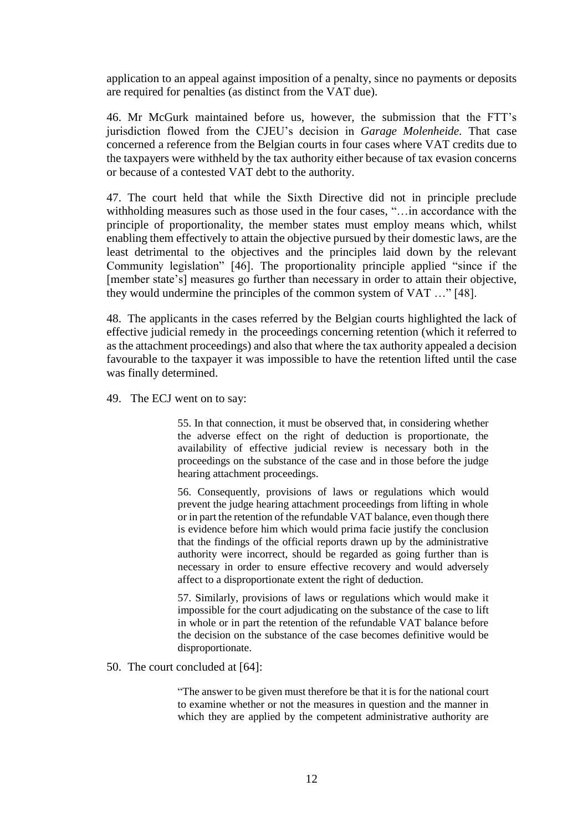application to an appeal against imposition of a penalty, since no payments or deposits are required for penalties (as distinct from the VAT due).

46. Mr McGurk maintained before us, however, the submission that the FTT's jurisdiction flowed from the CJEU's decision in *Garage Molenheide.* That case concerned a reference from the Belgian courts in four cases where VAT credits due to the taxpayers were withheld by the tax authority either because of tax evasion concerns or because of a contested VAT debt to the authority.

47. The court held that while the Sixth Directive did not in principle preclude withholding measures such as those used in the four cases, "…in accordance with the principle of proportionality, the member states must employ means which, whilst enabling them effectively to attain the objective pursued by their domestic laws, are the least detrimental to the objectives and the principles laid down by the relevant Community legislation" [46]. The proportionality principle applied "since if the [member state's] measures go further than necessary in order to attain their objective, they would undermine the principles of the common system of VAT …" [48].

48. The applicants in the cases referred by the Belgian courts highlighted the lack of effective judicial remedy in the proceedings concerning retention (which it referred to as the attachment proceedings) and also that where the tax authority appealed a decision favourable to the taxpayer it was impossible to have the retention lifted until the case was finally determined.

49. The ECJ went on to say:

55. In that connection, it must be observed that, in considering whether the adverse effect on the right of deduction is proportionate, the availability of effective judicial review is necessary both in the proceedings on the substance of the case and in those before the judge hearing attachment proceedings.

56. Consequently, provisions of laws or regulations which would prevent the judge hearing attachment proceedings from lifting in whole or in part the retention of the refundable VAT balance, even though there is evidence before him which would prima facie justify the conclusion that the findings of the official reports drawn up by the administrative authority were incorrect, should be regarded as going further than is necessary in order to ensure effective recovery and would adversely affect to a disproportionate extent the right of deduction.

57. Similarly, provisions of laws or regulations which would make it impossible for the court adjudicating on the substance of the case to lift in whole or in part the retention of the refundable VAT balance before the decision on the substance of the case becomes definitive would be disproportionate.

50. The court concluded at [64]:

"The answer to be given must therefore be that it is for the national court to examine whether or not the measures in question and the manner in which they are applied by the competent administrative authority are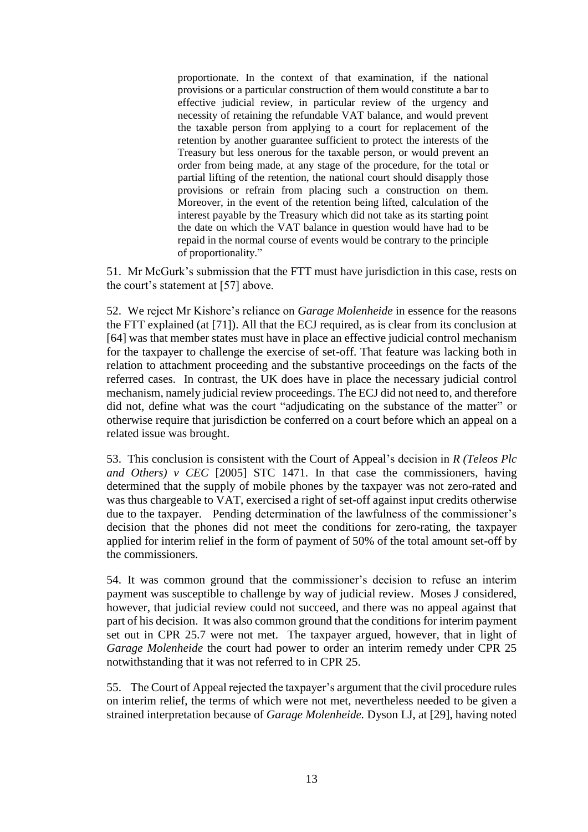proportionate. In the context of that examination, if the national provisions or a particular construction of them would constitute a bar to effective judicial review, in particular review of the urgency and necessity of retaining the refundable VAT balance, and would prevent the taxable person from applying to a court for replacement of the retention by another guarantee sufficient to protect the interests of the Treasury but less onerous for the taxable person, or would prevent an order from being made, at any stage of the procedure, for the total or partial lifting of the retention, the national court should disapply those provisions or refrain from placing such a construction on them. Moreover, in the event of the retention being lifted, calculation of the interest payable by the Treasury which did not take as its starting point the date on which the VAT balance in question would have had to be repaid in the normal course of events would be contrary to the principle of proportionality."

51. Mr McGurk's submission that the FTT must have jurisdiction in this case, rests on the court's statement at [57] above.

52. We reject Mr Kishore's reliance on *Garage Molenheide* in essence for the reasons the FTT explained (at [71]). All that the ECJ required, as is clear from its conclusion at [64] was that member states must have in place an effective judicial control mechanism for the taxpayer to challenge the exercise of set-off. That feature was lacking both in relation to attachment proceeding and the substantive proceedings on the facts of the referred cases. In contrast, the UK does have in place the necessary judicial control mechanism, namely judicial review proceedings. The ECJ did not need to, and therefore did not, define what was the court "adjudicating on the substance of the matter" or otherwise require that jurisdiction be conferred on a court before which an appeal on a related issue was brought.

53. This conclusion is consistent with the Court of Appeal's decision in *R (Teleos Plc and Others) v CEC* [2005] STC 1471*.* In that case the commissioners, having determined that the supply of mobile phones by the taxpayer was not zero-rated and was thus chargeable to VAT, exercised a right of set-off against input credits otherwise due to the taxpayer. Pending determination of the lawfulness of the commissioner's decision that the phones did not meet the conditions for zero-rating, the taxpayer applied for interim relief in the form of payment of 50% of the total amount set-off by the commissioners.

54. It was common ground that the commissioner's decision to refuse an interim payment was susceptible to challenge by way of judicial review. Moses J considered, however, that judicial review could not succeed, and there was no appeal against that part of his decision. It was also common ground that the conditions for interim payment set out in CPR 25.7 were not met. The taxpayer argued, however, that in light of *Garage Molenheide* the court had power to order an interim remedy under CPR 25 notwithstanding that it was not referred to in CPR 25.

55. The Court of Appeal rejected the taxpayer's argument that the civil procedure rules on interim relief, the terms of which were not met, nevertheless needed to be given a strained interpretation because of *Garage Molenheide.* Dyson LJ, at [29], having noted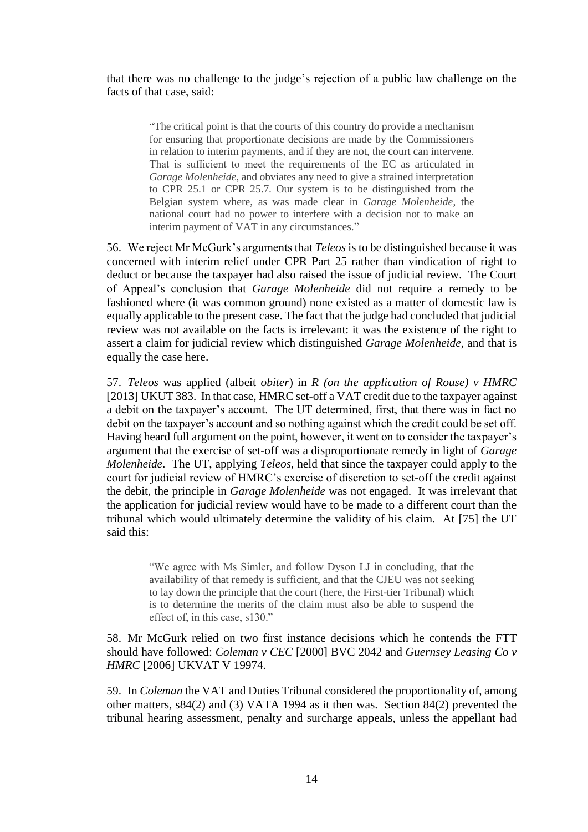that there was no challenge to the judge's rejection of a public law challenge on the facts of that case, said:

> "The critical point is that the courts of this country do provide a mechanism for ensuring that proportionate decisions are made by the Commissioners in relation to interim payments, and if they are not, the court can intervene. That is sufficient to meet the requirements of the EC as articulated in *Garage Molenheide*, and obviates any need to give a strained interpretation to CPR 25.1 or CPR 25.7. Our system is to be distinguished from the Belgian system where, as was made clear in *Garage Molenheide*, the national court had no power to interfere with a decision not to make an interim payment of VAT in any circumstances."

56. We reject Mr McGurk's arguments that *Teleos* is to be distinguished because it was concerned with interim relief under CPR Part 25 rather than vindication of right to deduct or because the taxpayer had also raised the issue of judicial review. The Court of Appeal's conclusion that *Garage Molenheide* did not require a remedy to be fashioned where (it was common ground) none existed as a matter of domestic law is equally applicable to the present case. The fact that the judge had concluded that judicial review was not available on the facts is irrelevant: it was the existence of the right to assert a claim for judicial review which distinguished *Garage Molenheide*, and that is equally the case here.

57. *Teleos* was applied (albeit *obiter*) in *R (on the application of Rouse) v HMRC* [2013] UKUT 383. In that case, HMRC set-off a VAT credit due to the taxpayer against a debit on the taxpayer's account. The UT determined, first, that there was in fact no debit on the taxpayer's account and so nothing against which the credit could be set off. Having heard full argument on the point, however, it went on to consider the taxpayer's argument that the exercise of set-off was a disproportionate remedy in light of *Garage Molenheide*. The UT, applying *Teleos*, held that since the taxpayer could apply to the court for judicial review of HMRC's exercise of discretion to set-off the credit against the debit, the principle in *Garage Molenheide* was not engaged. It was irrelevant that the application for judicial review would have to be made to a different court than the tribunal which would ultimately determine the validity of his claim. At [75] the UT said this:

> "We agree with Ms Simler, and follow Dyson LJ in concluding, that the availability of that remedy is sufficient, and that the CJEU was not seeking to lay down the principle that the court (here, the First-tier Tribunal) which is to determine the merits of the claim must also be able to suspend the effect of, in this case, s130."

58. Mr McGurk relied on two first instance decisions which he contends the FTT should have followed: *Coleman v CEC* [2000] BVC 2042 and *Guernsey Leasing Co v HMRC* [2006] UKVAT V 19974*.*

59. In *Coleman* the VAT and Duties Tribunal considered the proportionality of, among other matters, s84(2) and (3) VATA 1994 as it then was. Section 84(2) prevented the tribunal hearing assessment, penalty and surcharge appeals, unless the appellant had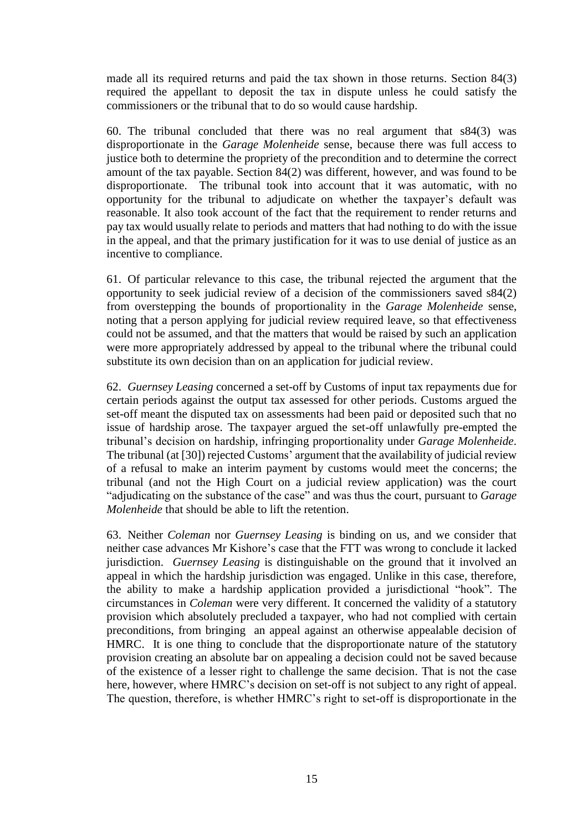made all its required returns and paid the tax shown in those returns. Section 84(3) required the appellant to deposit the tax in dispute unless he could satisfy the commissioners or the tribunal that to do so would cause hardship.

60. The tribunal concluded that there was no real argument that s84(3) was disproportionate in the *Garage Molenheide* sense, because there was full access to justice both to determine the propriety of the precondition and to determine the correct amount of the tax payable. Section 84(2) was different, however, and was found to be disproportionate. The tribunal took into account that it was automatic, with no opportunity for the tribunal to adjudicate on whether the taxpayer's default was reasonable. It also took account of the fact that the requirement to render returns and pay tax would usually relate to periods and matters that had nothing to do with the issue in the appeal, and that the primary justification for it was to use denial of justice as an incentive to compliance.

61. Of particular relevance to this case, the tribunal rejected the argument that the opportunity to seek judicial review of a decision of the commissioners saved s84(2) from overstepping the bounds of proportionality in the *Garage Molenheide* sense, noting that a person applying for judicial review required leave, so that effectiveness could not be assumed, and that the matters that would be raised by such an application were more appropriately addressed by appeal to the tribunal where the tribunal could substitute its own decision than on an application for judicial review.

62. *Guernsey Leasing* concerned a set-off by Customs of input tax repayments due for certain periods against the output tax assessed for other periods. Customs argued the set-off meant the disputed tax on assessments had been paid or deposited such that no issue of hardship arose. The taxpayer argued the set-off unlawfully pre-empted the tribunal's decision on hardship, infringing proportionality under *Garage Molenheide*. The tribunal (at [30]) rejected Customs' argument that the availability of judicial review of a refusal to make an interim payment by customs would meet the concerns; the tribunal (and not the High Court on a judicial review application) was the court "adjudicating on the substance of the case" and was thus the court, pursuant to *Garage Molenheide* that should be able to lift the retention.

63. Neither *Coleman* nor *Guernsey Leasing* is binding on us, and we consider that neither case advances Mr Kishore's case that the FTT was wrong to conclude it lacked jurisdiction. *Guernsey Leasing* is distinguishable on the ground that it involved an appeal in which the hardship jurisdiction was engaged. Unlike in this case, therefore, the ability to make a hardship application provided a jurisdictional "hook". The circumstances in *Coleman* were very different. It concerned the validity of a statutory provision which absolutely precluded a taxpayer, who had not complied with certain preconditions, from bringing an appeal against an otherwise appealable decision of HMRC. It is one thing to conclude that the disproportionate nature of the statutory provision creating an absolute bar on appealing a decision could not be saved because of the existence of a lesser right to challenge the same decision. That is not the case here, however, where HMRC's decision on set-off is not subject to any right of appeal. The question, therefore, is whether HMRC's right to set-off is disproportionate in the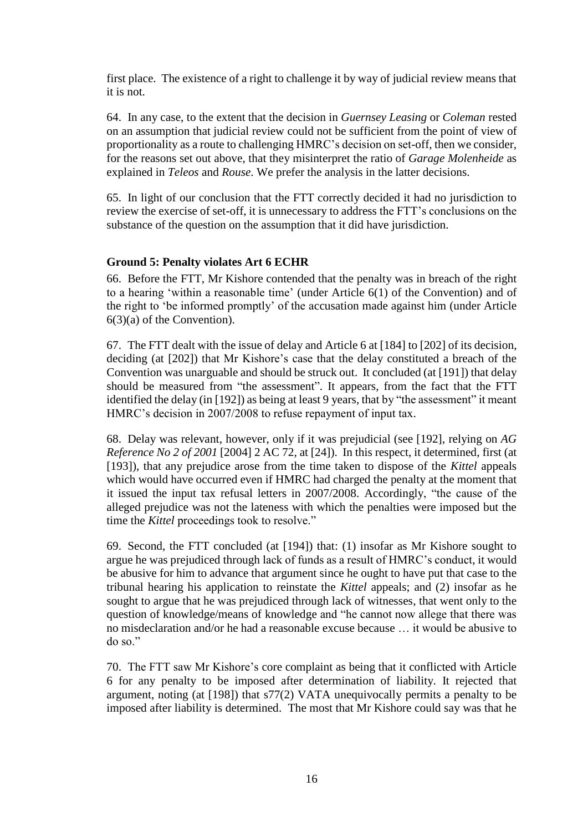first place. The existence of a right to challenge it by way of judicial review means that it is not.

64. In any case, to the extent that the decision in *Guernsey Leasing* or *Coleman* rested on an assumption that judicial review could not be sufficient from the point of view of proportionality as a route to challenging HMRC's decision on set-off, then we consider, for the reasons set out above, that they misinterpret the ratio of *Garage Molenheide* as explained in *Teleos* and *Rouse*. We prefer the analysis in the latter decisions.

65. In light of our conclusion that the FTT correctly decided it had no jurisdiction to review the exercise of set-off, it is unnecessary to address the FTT's conclusions on the substance of the question on the assumption that it did have jurisdiction.

# **Ground 5: Penalty violates Art 6 ECHR**

66. Before the FTT, Mr Kishore contended that the penalty was in breach of the right to a hearing 'within a reasonable time' (under Article 6(1) of the Convention) and of the right to 'be informed promptly' of the accusation made against him (under Article 6(3)(a) of the Convention).

67. The FTT dealt with the issue of delay and Article 6 at [184] to [202] of its decision, deciding (at [202]) that Mr Kishore's case that the delay constituted a breach of the Convention was unarguable and should be struck out. It concluded (at [191]) that delay should be measured from "the assessment". It appears, from the fact that the FTT identified the delay (in [192]) as being at least 9 years, that by "the assessment" it meant HMRC's decision in 2007/2008 to refuse repayment of input tax.

68. Delay was relevant, however, only if it was prejudicial (see [192], relying on *AG Reference No 2 of 2001* [2004] 2 AC 72*,* at [24]). In this respect, it determined, first (at [193]), that any prejudice arose from the time taken to dispose of the *Kittel* appeals which would have occurred even if HMRC had charged the penalty at the moment that it issued the input tax refusal letters in 2007/2008. Accordingly, "the cause of the alleged prejudice was not the lateness with which the penalties were imposed but the time the *Kittel* proceedings took to resolve."

69. Second, the FTT concluded (at [194]) that: (1) insofar as Mr Kishore sought to argue he was prejudiced through lack of funds as a result of HMRC's conduct, it would be abusive for him to advance that argument since he ought to have put that case to the tribunal hearing his application to reinstate the *Kittel* appeals; and (2) insofar as he sought to argue that he was prejudiced through lack of witnesses, that went only to the question of knowledge/means of knowledge and "he cannot now allege that there was no misdeclaration and/or he had a reasonable excuse because … it would be abusive to do so."

70. The FTT saw Mr Kishore's core complaint as being that it conflicted with Article 6 for any penalty to be imposed after determination of liability. It rejected that argument, noting (at [198]) that s77(2) VATA unequivocally permits a penalty to be imposed after liability is determined. The most that Mr Kishore could say was that he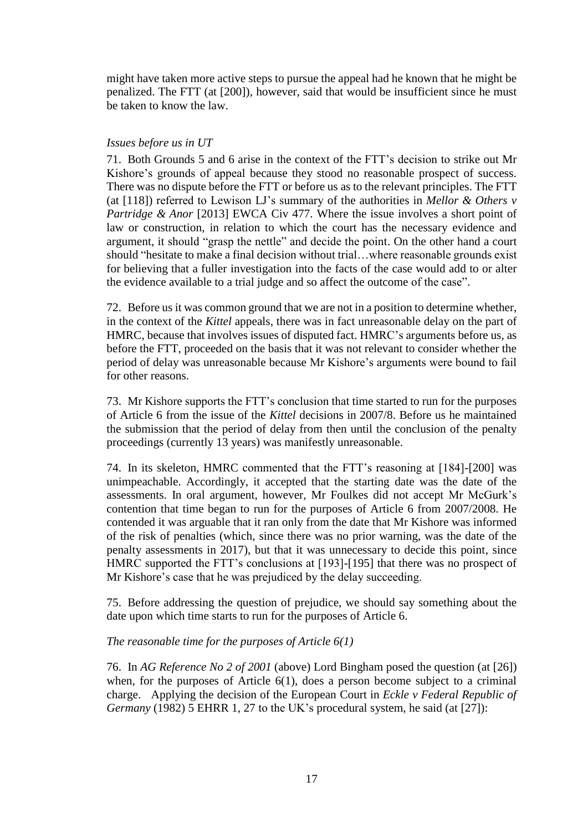might have taken more active steps to pursue the appeal had he known that he might be penalized. The FTT (at [200]), however, said that would be insufficient since he must be taken to know the law.

# *Issues before us in UT*

71. Both Grounds 5 and 6 arise in the context of the FTT's decision to strike out Mr Kishore's grounds of appeal because they stood no reasonable prospect of success. There was no dispute before the FTT or before us as to the relevant principles. The FTT (at [118]) referred to Lewison LJ's summary of the authorities in *Mellor & Others v Partridge & Anor* [2013] EWCA Civ 477. Where the issue involves a short point of law or construction, in relation to which the court has the necessary evidence and argument, it should "grasp the nettle" and decide the point. On the other hand a court should "hesitate to make a final decision without trial…where reasonable grounds exist for believing that a fuller investigation into the facts of the case would add to or alter the evidence available to a trial judge and so affect the outcome of the case".

72. Before us it was common ground that we are not in a position to determine whether, in the context of the *Kittel* appeals, there was in fact unreasonable delay on the part of HMRC, because that involves issues of disputed fact. HMRC's arguments before us, as before the FTT, proceeded on the basis that it was not relevant to consider whether the period of delay was unreasonable because Mr Kishore's arguments were bound to fail for other reasons.

73. Mr Kishore supports the FTT's conclusion that time started to run for the purposes of Article 6 from the issue of the *Kittel* decisions in 2007/8. Before us he maintained the submission that the period of delay from then until the conclusion of the penalty proceedings (currently 13 years) was manifestly unreasonable.

74. In its skeleton, HMRC commented that the FTT's reasoning at [184]-[200] was unimpeachable. Accordingly, it accepted that the starting date was the date of the assessments. In oral argument, however, Mr Foulkes did not accept Mr McGurk's contention that time began to run for the purposes of Article 6 from 2007/2008. He contended it was arguable that it ran only from the date that Mr Kishore was informed of the risk of penalties (which, since there was no prior warning, was the date of the penalty assessments in 2017), but that it was unnecessary to decide this point, since HMRC supported the FTT's conclusions at [193]-[195] that there was no prospect of Mr Kishore's case that he was prejudiced by the delay succeeding.

75. Before addressing the question of prejudice, we should say something about the date upon which time starts to run for the purposes of Article 6.

# *The reasonable time for the purposes of Article 6(1)*

76. In *AG Reference No 2 of 2001* (above) Lord Bingham posed the question (at [26]) when, for the purposes of Article 6(1), does a person become subject to a criminal charge. Applying the decision of the European Court in *Eckle v Federal Republic of Germany* (1982) 5 EHRR 1, 27 to the UK's procedural system, he said (at [27]):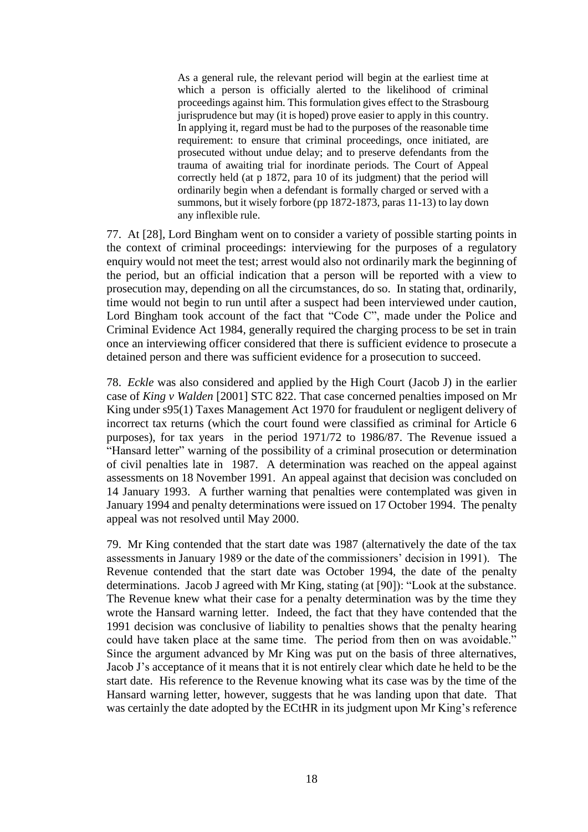As a general rule, the relevant period will begin at the earliest time at which a person is officially alerted to the likelihood of criminal proceedings against him. This formulation gives effect to the Strasbourg jurisprudence but may (it is hoped) prove easier to apply in this country. In applying it, regard must be had to the purposes of the reasonable time requirement: to ensure that criminal proceedings, once initiated, are prosecuted without undue delay; and to preserve defendants from the trauma of awaiting trial for inordinate periods. The Court of Appeal correctly held (at p 1872, para 10 of its judgment) that the period will ordinarily begin when a defendant is formally charged or served with a summons, but it wisely forbore (pp 1872-1873, paras 11-13) to lay down any inflexible rule.

77. At [28], Lord Bingham went on to consider a variety of possible starting points in the context of criminal proceedings: interviewing for the purposes of a regulatory enquiry would not meet the test; arrest would also not ordinarily mark the beginning of the period, but an official indication that a person will be reported with a view to prosecution may, depending on all the circumstances, do so. In stating that, ordinarily, time would not begin to run until after a suspect had been interviewed under caution, Lord Bingham took account of the fact that "Code C", made under the Police and Criminal Evidence Act 1984, generally required the charging process to be set in train once an interviewing officer considered that there is sufficient evidence to prosecute a detained person and there was sufficient evidence for a prosecution to succeed.

78. *Eckle* was also considered and applied by the High Court (Jacob J) in the earlier case of *King v Walden* [2001] STC 822. That case concerned penalties imposed on Mr King under s95(1) Taxes Management Act 1970 for fraudulent or negligent delivery of incorrect tax returns (which the court found were classified as criminal for Article 6 purposes), for tax years in the period 1971/72 to 1986/87. The Revenue issued a "Hansard letter" warning of the possibility of a criminal prosecution or determination of civil penalties late in 1987. A determination was reached on the appeal against assessments on 18 November 1991. An appeal against that decision was concluded on 14 January 1993. A further warning that penalties were contemplated was given in January 1994 and penalty determinations were issued on 17 October 1994. The penalty appeal was not resolved until May 2000.

79. Mr King contended that the start date was 1987 (alternatively the date of the tax assessments in January 1989 or the date of the commissioners' decision in 1991). The Revenue contended that the start date was October 1994, the date of the penalty determinations. Jacob J agreed with Mr King, stating (at [90]): "Look at the substance. The Revenue knew what their case for a penalty determination was by the time they wrote the Hansard warning letter. Indeed, the fact that they have contended that the 1991 decision was conclusive of liability to penalties shows that the penalty hearing could have taken place at the same time. The period from then on was avoidable." Since the argument advanced by Mr King was put on the basis of three alternatives, Jacob J's acceptance of it means that it is not entirely clear which date he held to be the start date. His reference to the Revenue knowing what its case was by the time of the Hansard warning letter, however, suggests that he was landing upon that date. That was certainly the date adopted by the ECtHR in its judgment upon Mr King's reference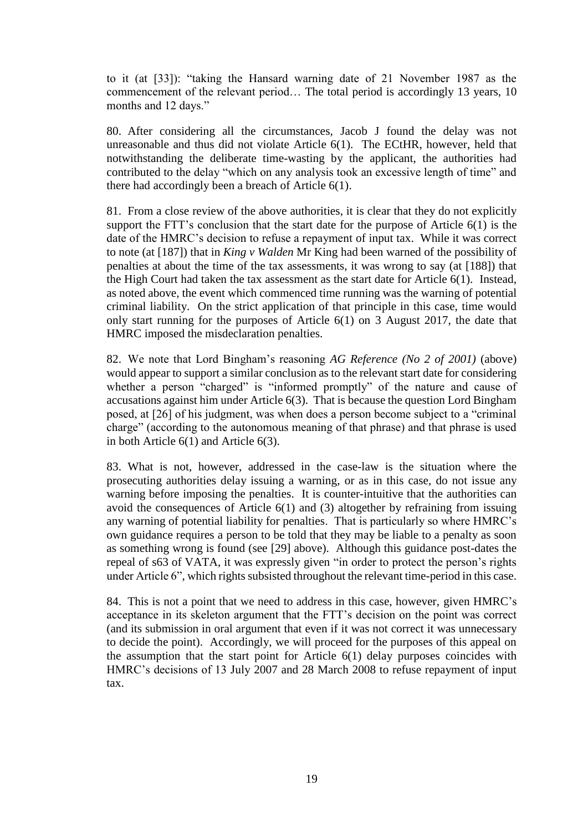to it (at [33]): "taking the Hansard warning date of 21 November 1987 as the commencement of the relevant period… The total period is accordingly 13 years, 10 months and 12 days."

80. After considering all the circumstances, Jacob J found the delay was not unreasonable and thus did not violate Article 6(1). The ECtHR, however, held that notwithstanding the deliberate time-wasting by the applicant, the authorities had contributed to the delay "which on any analysis took an excessive length of time" and there had accordingly been a breach of Article 6(1).

81. From a close review of the above authorities, it is clear that they do not explicitly support the FTT's conclusion that the start date for the purpose of Article 6(1) is the date of the HMRC's decision to refuse a repayment of input tax. While it was correct to note (at [187]) that in *King v Walden* Mr King had been warned of the possibility of penalties at about the time of the tax assessments, it was wrong to say (at [188]) that the High Court had taken the tax assessment as the start date for Article 6(1). Instead, as noted above, the event which commenced time running was the warning of potential criminal liability. On the strict application of that principle in this case, time would only start running for the purposes of Article 6(1) on 3 August 2017, the date that HMRC imposed the misdeclaration penalties.

82. We note that Lord Bingham's reasoning *AG Reference (No 2 of 2001)* (above) would appear to support a similar conclusion as to the relevant start date for considering whether a person "charged" is "informed promptly" of the nature and cause of accusations against him under Article 6(3). That is because the question Lord Bingham posed, at [26] of his judgment, was when does a person become subject to a "criminal charge" (according to the autonomous meaning of that phrase) and that phrase is used in both Article 6(1) and Article 6(3).

83. What is not, however, addressed in the case-law is the situation where the prosecuting authorities delay issuing a warning, or as in this case, do not issue any warning before imposing the penalties. It is counter-intuitive that the authorities can avoid the consequences of Article 6(1) and (3) altogether by refraining from issuing any warning of potential liability for penalties. That is particularly so where HMRC's own guidance requires a person to be told that they may be liable to a penalty as soon as something wrong is found (see [29] above). Although this guidance post-dates the repeal of s63 of VATA, it was expressly given "in order to protect the person's rights under Article 6", which rights subsisted throughout the relevant time-period in this case.

84. This is not a point that we need to address in this case, however, given HMRC's acceptance in its skeleton argument that the FTT's decision on the point was correct (and its submission in oral argument that even if it was not correct it was unnecessary to decide the point). Accordingly, we will proceed for the purposes of this appeal on the assumption that the start point for Article 6(1) delay purposes coincides with HMRC's decisions of 13 July 2007 and 28 March 2008 to refuse repayment of input tax.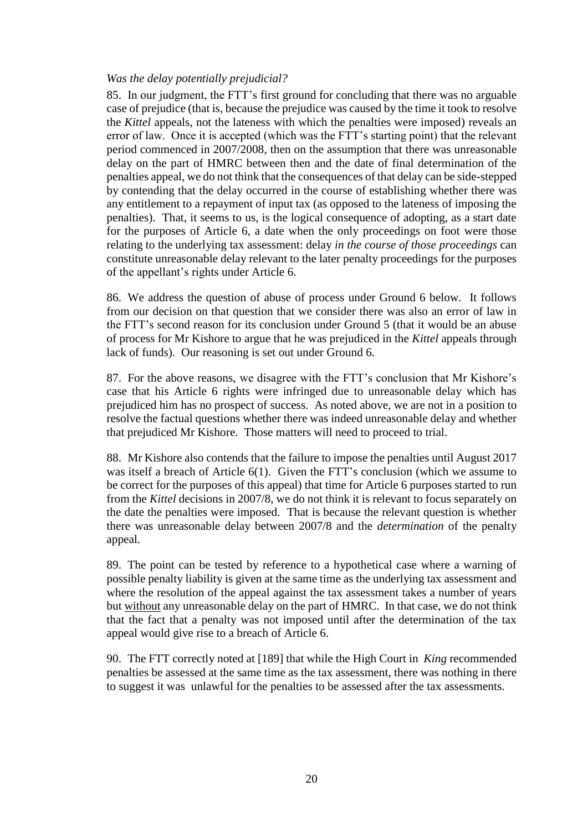## *Was the delay potentially prejudicial?*

85. In our judgment, the FTT's first ground for concluding that there was no arguable case of prejudice (that is, because the prejudice was caused by the time it took to resolve the *Kittel* appeals, not the lateness with which the penalties were imposed) reveals an error of law. Once it is accepted (which was the FTT's starting point) that the relevant period commenced in 2007/2008, then on the assumption that there was unreasonable delay on the part of HMRC between then and the date of final determination of the penalties appeal, we do not think that the consequences of that delay can be side-stepped by contending that the delay occurred in the course of establishing whether there was any entitlement to a repayment of input tax (as opposed to the lateness of imposing the penalties). That, it seems to us, is the logical consequence of adopting, as a start date for the purposes of Article 6, a date when the only proceedings on foot were those relating to the underlying tax assessment: delay *in the course of those proceedings* can constitute unreasonable delay relevant to the later penalty proceedings for the purposes of the appellant's rights under Article 6.

86. We address the question of abuse of process under Ground 6 below. It follows from our decision on that question that we consider there was also an error of law in the FTT's second reason for its conclusion under Ground 5 (that it would be an abuse of process for Mr Kishore to argue that he was prejudiced in the *Kittel* appeals through lack of funds). Our reasoning is set out under Ground 6.

87. For the above reasons, we disagree with the FTT's conclusion that Mr Kishore's case that his Article 6 rights were infringed due to unreasonable delay which has prejudiced him has no prospect of success. As noted above, we are not in a position to resolve the factual questions whether there was indeed unreasonable delay and whether that prejudiced Mr Kishore. Those matters will need to proceed to trial.

88. Mr Kishore also contends that the failure to impose the penalties until August 2017 was itself a breach of Article 6(1). Given the FTT's conclusion (which we assume to be correct for the purposes of this appeal) that time for Article 6 purposes started to run from the *Kittel* decisions in 2007/8, we do not think it is relevant to focus separately on the date the penalties were imposed. That is because the relevant question is whether there was unreasonable delay between 2007/8 and the *determination* of the penalty appeal.

89. The point can be tested by reference to a hypothetical case where a warning of possible penalty liability is given at the same time as the underlying tax assessment and where the resolution of the appeal against the tax assessment takes a number of years but without any unreasonable delay on the part of HMRC. In that case, we do not think that the fact that a penalty was not imposed until after the determination of the tax appeal would give rise to a breach of Article 6.

90. The FTT correctly noted at [189] that while the High Court in *King* recommended penalties be assessed at the same time as the tax assessment, there was nothing in there to suggest it was unlawful for the penalties to be assessed after the tax assessments.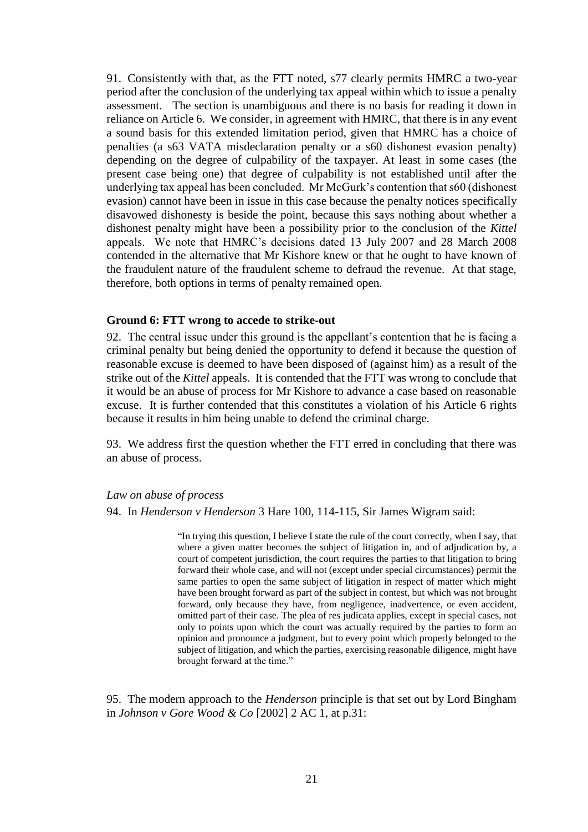91. Consistently with that, as the FTT noted, s77 clearly permits HMRC a two-year period after the conclusion of the underlying tax appeal within which to issue a penalty assessment. The section is unambiguous and there is no basis for reading it down in reliance on Article 6. We consider, in agreement with HMRC, that there is in any event a sound basis for this extended limitation period, given that HMRC has a choice of penalties (a s63 VATA misdeclaration penalty or a s60 dishonest evasion penalty) depending on the degree of culpability of the taxpayer. At least in some cases (the present case being one) that degree of culpability is not established until after the underlying tax appeal has been concluded. Mr McGurk's contention that s60 (dishonest evasion) cannot have been in issue in this case because the penalty notices specifically disavowed dishonesty is beside the point, because this says nothing about whether a dishonest penalty might have been a possibility prior to the conclusion of the *Kittel* appeals. We note that HMRC's decisions dated 13 July 2007 and 28 March 2008 contended in the alternative that Mr Kishore knew or that he ought to have known of the fraudulent nature of the fraudulent scheme to defraud the revenue. At that stage, therefore, both options in terms of penalty remained open.

#### **Ground 6: FTT wrong to accede to strike-out**

92. The central issue under this ground is the appellant's contention that he is facing a criminal penalty but being denied the opportunity to defend it because the question of reasonable excuse is deemed to have been disposed of (against him) as a result of the strike out of the *Kittel* appeals. It is contended that the FTT was wrong to conclude that it would be an abuse of process for Mr Kishore to advance a case based on reasonable excuse. It is further contended that this constitutes a violation of his Article 6 rights because it results in him being unable to defend the criminal charge.

93. We address first the question whether the FTT erred in concluding that there was an abuse of process.

### *Law on abuse of process*

94. In *Henderson v Henderson* 3 Hare 100, 114-115, Sir James Wigram said:

"In trying this question, I believe I state the rule of the court correctly, when I say, that where a given matter becomes the subject of litigation in, and of adjudication by, a court of competent jurisdiction, the court requires the parties to that litigation to bring forward their whole case, and will not (except under special circumstances) permit the same parties to open the same subject of litigation in respect of matter which might have been brought forward as part of the subject in contest, but which was not brought forward, only because they have, from negligence, inadvertence, or even accident, omitted part of their case. The plea of res judicata applies, except in special cases, not only to points upon which the court was actually required by the parties to form an opinion and pronounce a judgment, but to every point which properly belonged to the subject of litigation, and which the parties, exercising reasonable diligence, might have brought forward at the time."

95. The modern approach to the *Henderson* principle is that set out by Lord Bingham in *Johnson v Gore Wood & Co* [2002] 2 AC 1, at p.31: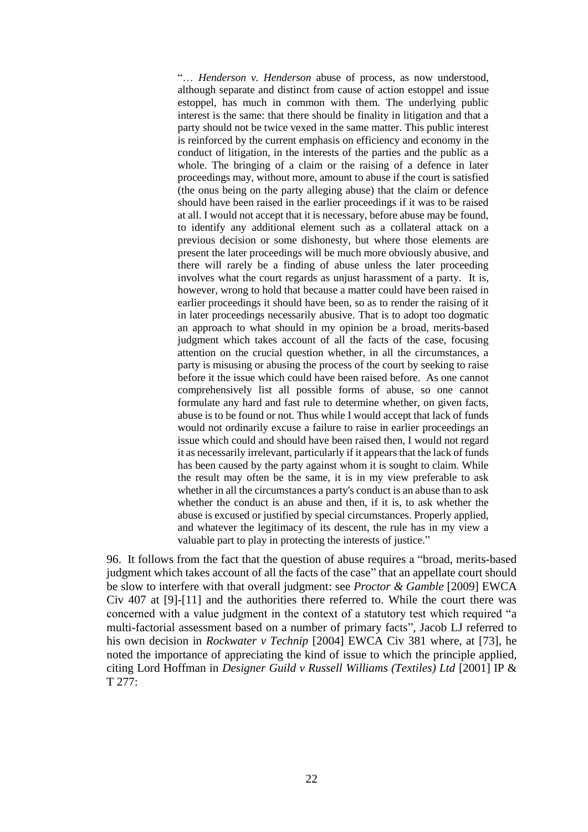"… *Henderson v. Henderson* abuse of process, as now understood, although separate and distinct from cause of action estoppel and issue estoppel, has much in common with them. The underlying public interest is the same: that there should be finality in litigation and that a party should not be twice vexed in the same matter. This public interest is reinforced by the current emphasis on efficiency and economy in the conduct of litigation, in the interests of the parties and the public as a whole. The bringing of a claim or the raising of a defence in later proceedings may, without more, amount to abuse if the court is satisfied (the onus being on the party alleging abuse) that the claim or defence should have been raised in the earlier proceedings if it was to be raised at all. I would not accept that it is necessary, before abuse may be found, to identify any additional element such as a collateral attack on a previous decision or some dishonesty, but where those elements are present the later proceedings will be much more obviously abusive, and there will rarely be a finding of abuse unless the later proceeding involves what the court regards as unjust harassment of a party. It is, however, wrong to hold that because a matter could have been raised in earlier proceedings it should have been, so as to render the raising of it in later proceedings necessarily abusive. That is to adopt too dogmatic an approach to what should in my opinion be a broad, merits-based judgment which takes account of all the facts of the case, focusing attention on the crucial question whether, in all the circumstances, a party is misusing or abusing the process of the court by seeking to raise before it the issue which could have been raised before. As one cannot comprehensively list all possible forms of abuse, so one cannot formulate any hard and fast rule to determine whether, on given facts, abuse is to be found or not. Thus while I would accept that lack of funds would not ordinarily excuse a failure to raise in earlier proceedings an issue which could and should have been raised then, I would not regard it as necessarily irrelevant, particularly if it appears that the lack of funds has been caused by the party against whom it is sought to claim. While the result may often be the same, it is in my view preferable to ask whether in all the circumstances a party's conduct is an abuse than to ask whether the conduct is an abuse and then, if it is, to ask whether the abuse is excused or justified by special circumstances. Properly applied, and whatever the legitimacy of its descent, the rule has in my view a valuable part to play in protecting the interests of justice."

96. It follows from the fact that the question of abuse requires a "broad, merits-based judgment which takes account of all the facts of the case" that an appellate court should be slow to interfere with that overall judgment: see *Proctor & Gamble* [2009] EWCA Civ 407 at [9]-[11] and the authorities there referred to. While the court there was concerned with a value judgment in the context of a statutory test which required "a multi-factorial assessment based on a number of primary facts", Jacob LJ referred to his own decision in *Rockwater v Technip* [2004] EWCA Civ 381 where, at [73], he noted the importance of appreciating the kind of issue to which the principle applied, citing Lord Hoffman in *Designer Guild v Russell Williams (Textiles) Ltd* [2001] IP & T 277: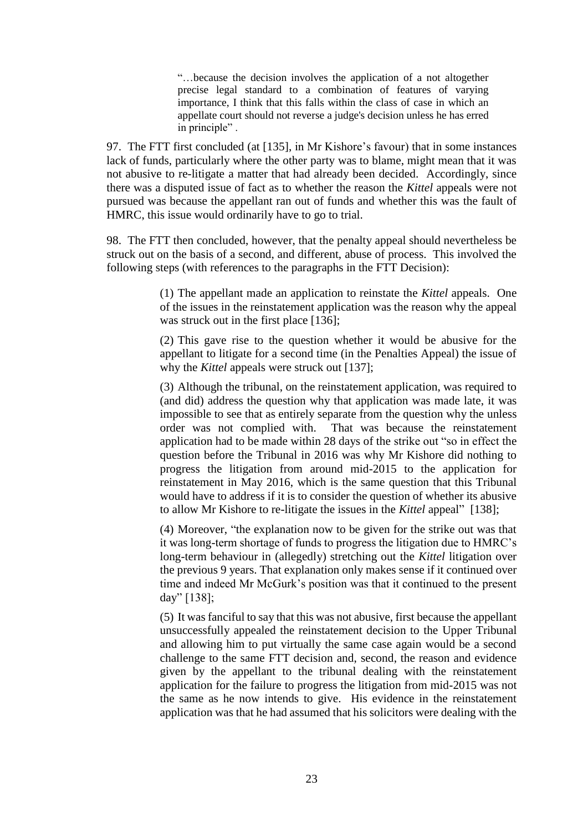"…because the decision involves the application of a not altogether precise legal standard to a combination of features of varying importance, I think that this falls within the class of case in which an appellate court should not reverse a judge's decision unless he has erred in principle" .

97. The FTT first concluded (at [135], in Mr Kishore's favour) that in some instances lack of funds, particularly where the other party was to blame, might mean that it was not abusive to re-litigate a matter that had already been decided. Accordingly, since there was a disputed issue of fact as to whether the reason the *Kittel* appeals were not pursued was because the appellant ran out of funds and whether this was the fault of HMRC, this issue would ordinarily have to go to trial.

98. The FTT then concluded, however, that the penalty appeal should nevertheless be struck out on the basis of a second, and different, abuse of process. This involved the following steps (with references to the paragraphs in the FTT Decision):

> (1) The appellant made an application to reinstate the *Kittel* appeals. One of the issues in the reinstatement application was the reason why the appeal was struck out in the first place [136];

> (2) This gave rise to the question whether it would be abusive for the appellant to litigate for a second time (in the Penalties Appeal) the issue of why the *Kittel* appeals were struck out [137];

> (3) Although the tribunal, on the reinstatement application, was required to (and did) address the question why that application was made late, it was impossible to see that as entirely separate from the question why the unless order was not complied with. That was because the reinstatement application had to be made within 28 days of the strike out "so in effect the question before the Tribunal in 2016 was why Mr Kishore did nothing to progress the litigation from around mid-2015 to the application for reinstatement in May 2016, which is the same question that this Tribunal would have to address if it is to consider the question of whether its abusive to allow Mr Kishore to re-litigate the issues in the *Kittel* appeal" [138];

> (4) Moreover, "the explanation now to be given for the strike out was that it was long-term shortage of funds to progress the litigation due to HMRC's long-term behaviour in (allegedly) stretching out the *Kittel* litigation over the previous 9 years. That explanation only makes sense if it continued over time and indeed Mr McGurk's position was that it continued to the present day" [138];

> (5) It was fanciful to say that this was not abusive, first because the appellant unsuccessfully appealed the reinstatement decision to the Upper Tribunal and allowing him to put virtually the same case again would be a second challenge to the same FTT decision and, second, the reason and evidence given by the appellant to the tribunal dealing with the reinstatement application for the failure to progress the litigation from mid-2015 was not the same as he now intends to give. His evidence in the reinstatement application was that he had assumed that his solicitors were dealing with the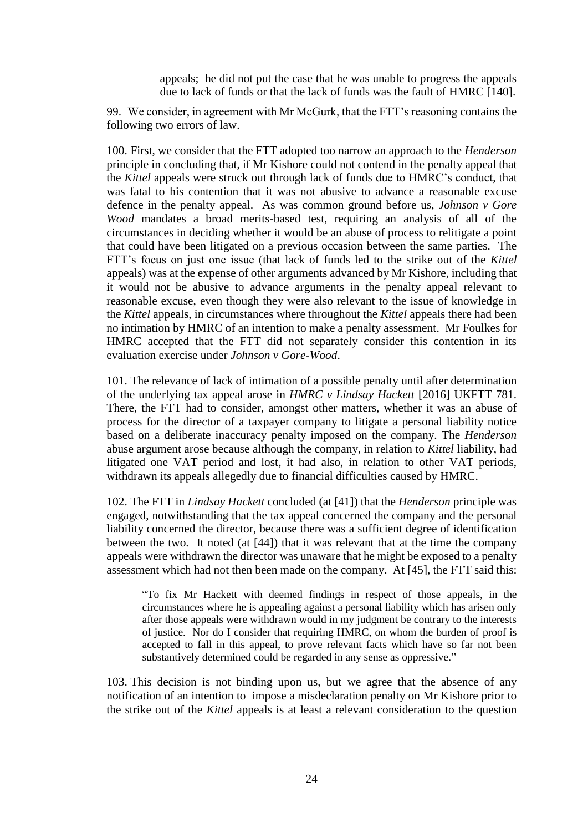appeals; he did not put the case that he was unable to progress the appeals due to lack of funds or that the lack of funds was the fault of HMRC [140].

99. We consider, in agreement with Mr McGurk, that the FTT's reasoning contains the following two errors of law.

100. First, we consider that the FTT adopted too narrow an approach to the *Henderson* principle in concluding that, if Mr Kishore could not contend in the penalty appeal that the *Kittel* appeals were struck out through lack of funds due to HMRC's conduct, that was fatal to his contention that it was not abusive to advance a reasonable excuse defence in the penalty appeal. As was common ground before us, *Johnson v Gore Wood* mandates a broad merits-based test, requiring an analysis of all of the circumstances in deciding whether it would be an abuse of process to relitigate a point that could have been litigated on a previous occasion between the same parties. The FTT's focus on just one issue (that lack of funds led to the strike out of the *Kittel* appeals) was at the expense of other arguments advanced by Mr Kishore, including that it would not be abusive to advance arguments in the penalty appeal relevant to reasonable excuse, even though they were also relevant to the issue of knowledge in the *Kittel* appeals, in circumstances where throughout the *Kittel* appeals there had been no intimation by HMRC of an intention to make a penalty assessment. Mr Foulkes for HMRC accepted that the FTT did not separately consider this contention in its evaluation exercise under *Johnson v Gore-Wood*.

101. The relevance of lack of intimation of a possible penalty until after determination of the underlying tax appeal arose in *HMRC v Lindsay Hackett* [2016] UKFTT 781. There, the FTT had to consider, amongst other matters, whether it was an abuse of process for the director of a taxpayer company to litigate a personal liability notice based on a deliberate inaccuracy penalty imposed on the company. The *Henderson* abuse argument arose because although the company, in relation to *Kittel* liability, had litigated one VAT period and lost, it had also, in relation to other VAT periods, withdrawn its appeals allegedly due to financial difficulties caused by HMRC.

102. The FTT in *Lindsay Hackett* concluded (at [41]) that the *Henderson* principle was engaged, notwithstanding that the tax appeal concerned the company and the personal liability concerned the director, because there was a sufficient degree of identification between the two. It noted (at [44]) that it was relevant that at the time the company appeals were withdrawn the director was unaware that he might be exposed to a penalty assessment which had not then been made on the company. At [45], the FTT said this:

"To fix Mr Hackett with deemed findings in respect of those appeals, in the circumstances where he is appealing against a personal liability which has arisen only after those appeals were withdrawn would in my judgment be contrary to the interests of justice. Nor do I consider that requiring HMRC, on whom the burden of proof is accepted to fall in this appeal, to prove relevant facts which have so far not been substantively determined could be regarded in any sense as oppressive."

103. This decision is not binding upon us, but we agree that the absence of any notification of an intention to impose a misdeclaration penalty on Mr Kishore prior to the strike out of the *Kittel* appeals is at least a relevant consideration to the question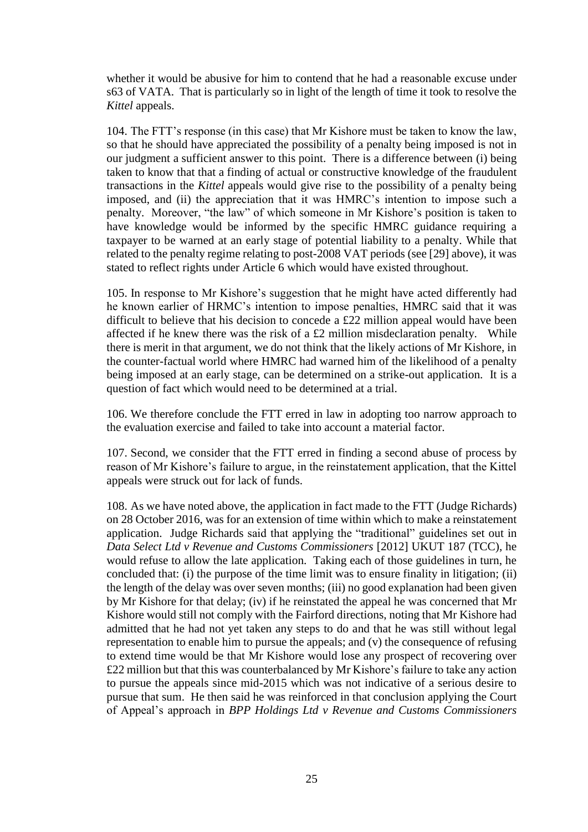whether it would be abusive for him to contend that he had a reasonable excuse under s63 of VATA. That is particularly so in light of the length of time it took to resolve the *Kittel* appeals.

104. The FTT's response (in this case) that Mr Kishore must be taken to know the law, so that he should have appreciated the possibility of a penalty being imposed is not in our judgment a sufficient answer to this point. There is a difference between (i) being taken to know that that a finding of actual or constructive knowledge of the fraudulent transactions in the *Kittel* appeals would give rise to the possibility of a penalty being imposed, and (ii) the appreciation that it was HMRC's intention to impose such a penalty. Moreover, "the law" of which someone in Mr Kishore's position is taken to have knowledge would be informed by the specific HMRC guidance requiring a taxpayer to be warned at an early stage of potential liability to a penalty. While that related to the penalty regime relating to post-2008 VAT periods (see [29] above), it was stated to reflect rights under Article 6 which would have existed throughout.

105. In response to Mr Kishore's suggestion that he might have acted differently had he known earlier of HRMC's intention to impose penalties, HMRC said that it was difficult to believe that his decision to concede a £22 million appeal would have been affected if he knew there was the risk of a £2 million misdeclaration penalty. While there is merit in that argument, we do not think that the likely actions of Mr Kishore, in the counter-factual world where HMRC had warned him of the likelihood of a penalty being imposed at an early stage, can be determined on a strike-out application. It is a question of fact which would need to be determined at a trial.

106. We therefore conclude the FTT erred in law in adopting too narrow approach to the evaluation exercise and failed to take into account a material factor.

107. Second, we consider that the FTT erred in finding a second abuse of process by reason of Mr Kishore's failure to argue, in the reinstatement application, that the Kittel appeals were struck out for lack of funds.

108. As we have noted above, the application in fact made to the FTT (Judge Richards) on 28 October 2016, was for an extension of time within which to make a reinstatement application. Judge Richards said that applying the "traditional" guidelines set out in *Data Select Ltd v Revenue and Customs Commissioners* [2012] UKUT 187 (TCC), he would refuse to allow the late application. Taking each of those guidelines in turn, he concluded that: (i) the purpose of the time limit was to ensure finality in litigation; (ii) the length of the delay was over seven months; (iii) no good explanation had been given by Mr Kishore for that delay; (iv) if he reinstated the appeal he was concerned that Mr Kishore would still not comply with the Fairford directions, noting that Mr Kishore had admitted that he had not yet taken any steps to do and that he was still without legal representation to enable him to pursue the appeals; and (v) the consequence of refusing to extend time would be that Mr Kishore would lose any prospect of recovering over £22 million but that this was counterbalanced by Mr Kishore's failure to take any action to pursue the appeals since mid-2015 which was not indicative of a serious desire to pursue that sum. He then said he was reinforced in that conclusion applying the Court of Appeal's approach in *BPP Holdings Ltd v Revenue and Customs Commissioners*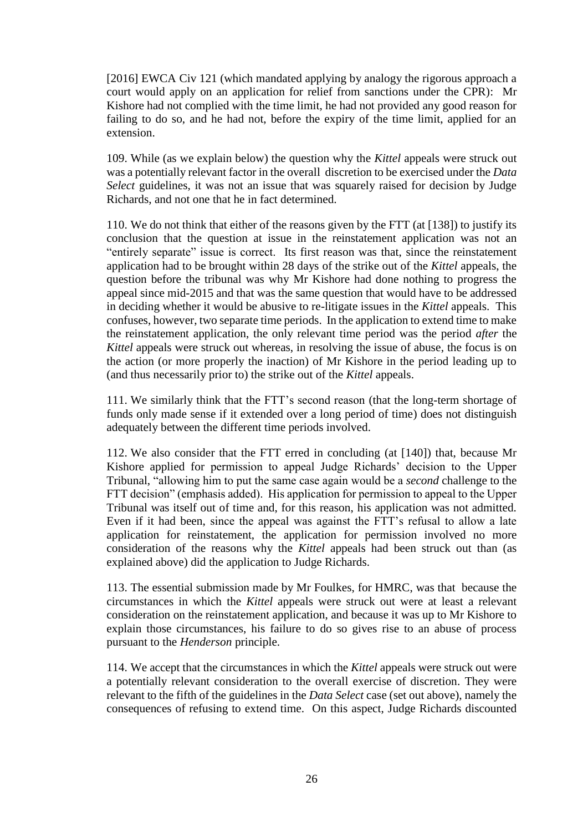[2016] EWCA Civ 121 (which mandated applying by analogy the rigorous approach a court would apply on an application for relief from sanctions under the CPR): Mr Kishore had not complied with the time limit, he had not provided any good reason for failing to do so, and he had not, before the expiry of the time limit, applied for an extension.

109. While (as we explain below) the question why the *Kittel* appeals were struck out was a potentially relevant factor in the overall discretion to be exercised under the *Data Select* guidelines, it was not an issue that was squarely raised for decision by Judge Richards, and not one that he in fact determined.

110. We do not think that either of the reasons given by the FTT (at [138]) to justify its conclusion that the question at issue in the reinstatement application was not an "entirely separate" issue is correct. Its first reason was that, since the reinstatement application had to be brought within 28 days of the strike out of the *Kittel* appeals, the question before the tribunal was why Mr Kishore had done nothing to progress the appeal since mid-2015 and that was the same question that would have to be addressed in deciding whether it would be abusive to re-litigate issues in the *Kittel* appeals. This confuses, however, two separate time periods. In the application to extend time to make the reinstatement application, the only relevant time period was the period *after* the *Kittel* appeals were struck out whereas, in resolving the issue of abuse, the focus is on the action (or more properly the inaction) of Mr Kishore in the period leading up to (and thus necessarily prior to) the strike out of the *Kittel* appeals.

111. We similarly think that the FTT's second reason (that the long-term shortage of funds only made sense if it extended over a long period of time) does not distinguish adequately between the different time periods involved.

112. We also consider that the FTT erred in concluding (at [140]) that, because Mr Kishore applied for permission to appeal Judge Richards' decision to the Upper Tribunal, "allowing him to put the same case again would be a *second* challenge to the FTT decision" (emphasis added). His application for permission to appeal to the Upper Tribunal was itself out of time and, for this reason, his application was not admitted. Even if it had been, since the appeal was against the FTT's refusal to allow a late application for reinstatement, the application for permission involved no more consideration of the reasons why the *Kittel* appeals had been struck out than (as explained above) did the application to Judge Richards.

113. The essential submission made by Mr Foulkes, for HMRC, was that because the circumstances in which the *Kittel* appeals were struck out were at least a relevant consideration on the reinstatement application, and because it was up to Mr Kishore to explain those circumstances, his failure to do so gives rise to an abuse of process pursuant to the *Henderson* principle.

114. We accept that the circumstances in which the *Kittel* appeals were struck out were a potentially relevant consideration to the overall exercise of discretion. They were relevant to the fifth of the guidelines in the *Data Select* case (set out above), namely the consequences of refusing to extend time. On this aspect, Judge Richards discounted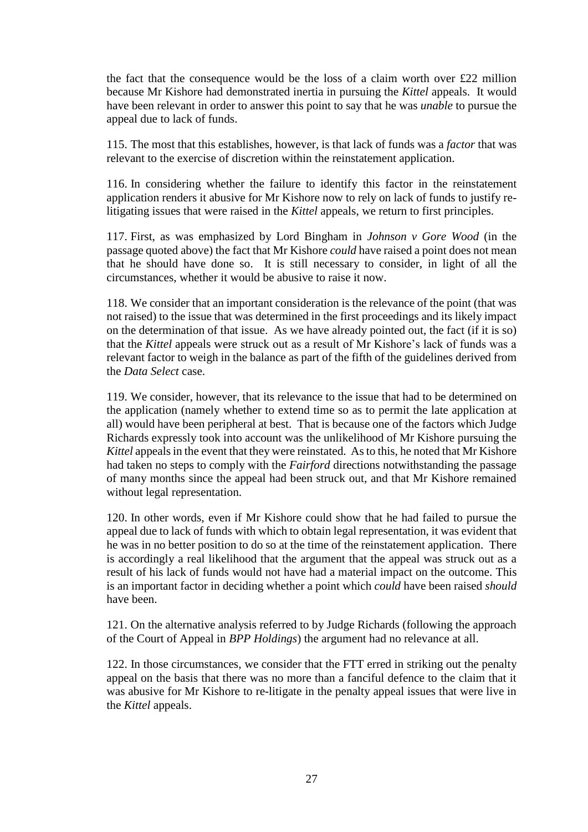the fact that the consequence would be the loss of a claim worth over £22 million because Mr Kishore had demonstrated inertia in pursuing the *Kittel* appeals. It would have been relevant in order to answer this point to say that he was *unable* to pursue the appeal due to lack of funds.

115. The most that this establishes, however, is that lack of funds was a *factor* that was relevant to the exercise of discretion within the reinstatement application.

116. In considering whether the failure to identify this factor in the reinstatement application renders it abusive for Mr Kishore now to rely on lack of funds to justify relitigating issues that were raised in the *Kittel* appeals, we return to first principles.

117. First, as was emphasized by Lord Bingham in *Johnson v Gore Wood* (in the passage quoted above) the fact that Mr Kishore *could* have raised a point does not mean that he should have done so. It is still necessary to consider, in light of all the circumstances, whether it would be abusive to raise it now.

118. We consider that an important consideration is the relevance of the point (that was not raised) to the issue that was determined in the first proceedings and its likely impact on the determination of that issue. As we have already pointed out, the fact (if it is so) that the *Kittel* appeals were struck out as a result of Mr Kishore's lack of funds was a relevant factor to weigh in the balance as part of the fifth of the guidelines derived from the *Data Select* case.

119. We consider, however, that its relevance to the issue that had to be determined on the application (namely whether to extend time so as to permit the late application at all) would have been peripheral at best. That is because one of the factors which Judge Richards expressly took into account was the unlikelihood of Mr Kishore pursuing the *Kittel* appeals in the event that they were reinstated. As to this, he noted that Mr Kishore had taken no steps to comply with the *Fairford* directions notwithstanding the passage of many months since the appeal had been struck out, and that Mr Kishore remained without legal representation.

120. In other words, even if Mr Kishore could show that he had failed to pursue the appeal due to lack of funds with which to obtain legal representation, it was evident that he was in no better position to do so at the time of the reinstatement application. There is accordingly a real likelihood that the argument that the appeal was struck out as a result of his lack of funds would not have had a material impact on the outcome. This is an important factor in deciding whether a point which *could* have been raised *should* have been.

121. On the alternative analysis referred to by Judge Richards (following the approach of the Court of Appeal in *BPP Holdings*) the argument had no relevance at all.

122. In those circumstances, we consider that the FTT erred in striking out the penalty appeal on the basis that there was no more than a fanciful defence to the claim that it was abusive for Mr Kishore to re-litigate in the penalty appeal issues that were live in the *Kittel* appeals.